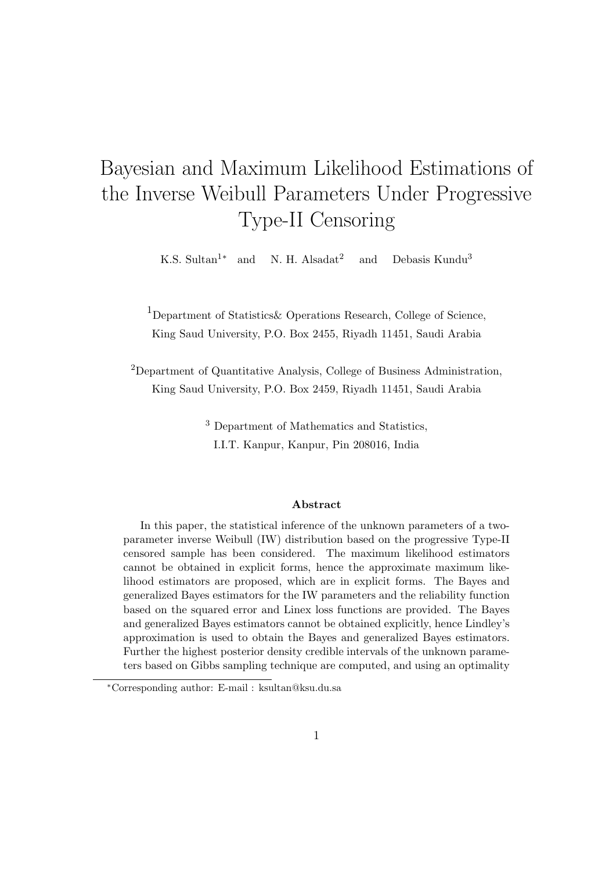# Bayesian and Maximum Likelihood Estimations of the Inverse Weibull Parameters Under Progressive Type-II Censoring

K.S. Sultan<sup>1</sup>\* and N. H. Alsadat<sup>2</sup> and Debasis Kundu<sup>3</sup>

<sup>1</sup>Department of Statistics & Operations Research, College of Science, King Saud University, P.O. Box 2455, Riyadh 11451, Saudi Arabia

<sup>2</sup>Department of Quantitative Analysis, College of Business Administration, King Saud University, P.O. Box 2459, Riyadh 11451, Saudi Arabia

> <sup>3</sup> Department of Mathematics and Statistics, I.I.T. Kanpur, Kanpur, Pin 208016, India

#### Abstract

In this paper, the statistical inference of the unknown parameters of a twoparameter inverse Weibull (IW) distribution based on the progressive Type-II censored sample has been considered. The maximum likelihood estimators cannot be obtained in explicit forms, hence the approximate maximum likelihood estimators are proposed, which are in explicit forms. The Bayes and generalized Bayes estimators for the IW parameters and the reliability function based on the squared error and Linex loss functions are provided. The Bayes and generalized Bayes estimators cannot be obtained explicitly, hence Lindley's approximation is used to obtain the Bayes and generalized Bayes estimators. Further the highest posterior density credible intervals of the unknown parameters based on Gibbs sampling technique are computed, and using an optimality

<sup>∗</sup>Corresponding author: E-mail : ksultan@ksu.du.sa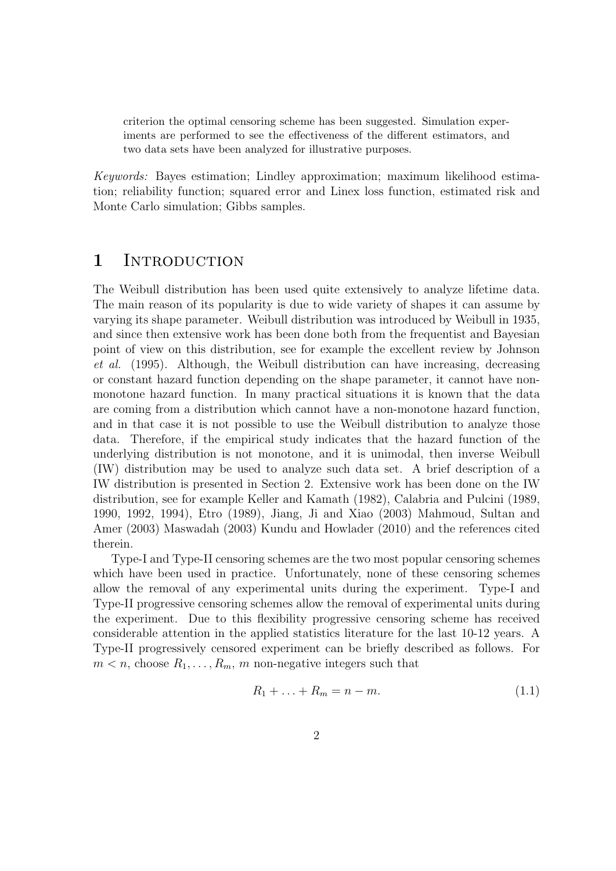criterion the optimal censoring scheme has been suggested. Simulation experiments are performed to see the effectiveness of the different estimators, and two data sets have been analyzed for illustrative purposes.

Keywords: Bayes estimation; Lindley approximation; maximum likelihood estimation; reliability function; squared error and Linex loss function, estimated risk and Monte Carlo simulation; Gibbs samples.

### 1 INTRODUCTION

The Weibull distribution has been used quite extensively to analyze lifetime data. The main reason of its popularity is due to wide variety of shapes it can assume by varying its shape parameter. Weibull distribution was introduced by Weibull in 1935, and since then extensive work has been done both from the frequentist and Bayesian point of view on this distribution, see for example the excellent review by Johnson et al. (1995). Although, the Weibull distribution can have increasing, decreasing or constant hazard function depending on the shape parameter, it cannot have nonmonotone hazard function. In many practical situations it is known that the data are coming from a distribution which cannot have a non-monotone hazard function, and in that case it is not possible to use the Weibull distribution to analyze those data. Therefore, if the empirical study indicates that the hazard function of the underlying distribution is not monotone, and it is unimodal, then inverse Weibull (IW) distribution may be used to analyze such data set. A brief description of a IW distribution is presented in Section 2. Extensive work has been done on the IW distribution, see for example Keller and Kamath (1982), Calabria and Pulcini (1989, 1990, 1992, 1994), Etro (1989), Jiang, Ji and Xiao (2003) Mahmoud, Sultan and Amer (2003) Maswadah (2003) Kundu and Howlader (2010) and the references cited therein.

Type-I and Type-II censoring schemes are the two most popular censoring schemes which have been used in practice. Unfortunately, none of these censoring schemes allow the removal of any experimental units during the experiment. Type-I and Type-II progressive censoring schemes allow the removal of experimental units during the experiment. Due to this flexibility progressive censoring scheme has received considerable attention in the applied statistics literature for the last 10-12 years. A Type-II progressively censored experiment can be briefly described as follows. For  $m < n$ , choose  $R_1, \ldots, R_m, m$  non-negative integers such that

$$
R_1 + \ldots + R_m = n - m. \tag{1.1}
$$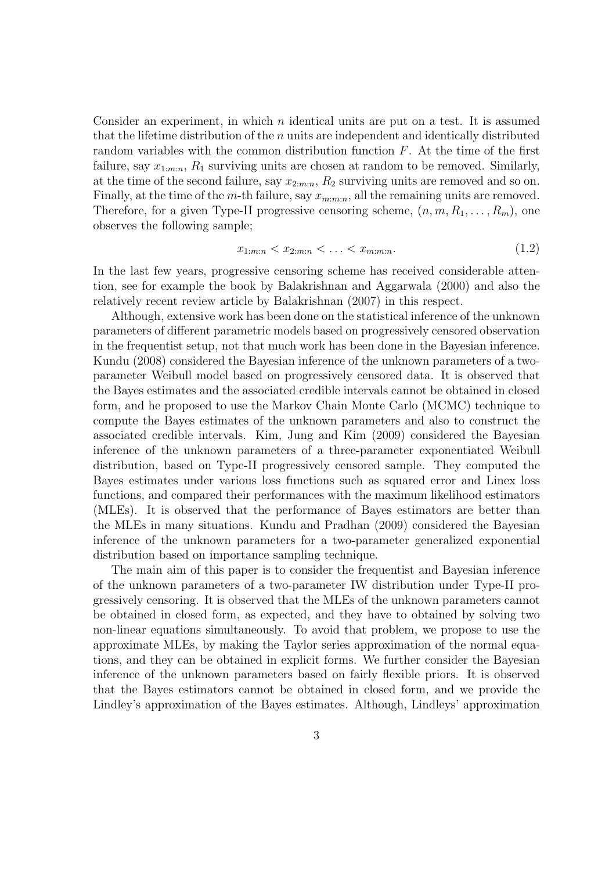Consider an experiment, in which  $n$  identical units are put on a test. It is assumed that the lifetime distribution of the n units are independent and identically distributed random variables with the common distribution function  $F$ . At the time of the first failure, say  $x_{1:m:n}$ ,  $R_1$  surviving units are chosen at random to be removed. Similarly, at the time of the second failure, say  $x_{2:m:n}$ ,  $R_2$  surviving units are removed and so on. Finally, at the time of the m-th failure, say  $x_{m:m:n}$ , all the remaining units are removed. Therefore, for a given Type-II progressive censoring scheme,  $(n, m, R_1, \ldots, R_m)$ , one observes the following sample;

$$
x_{1:m:n} < x_{2:m:n} < \ldots < x_{m:m:n}.\tag{1.2}
$$

In the last few years, progressive censoring scheme has received considerable attention, see for example the book by Balakrishnan and Aggarwala (2000) and also the relatively recent review article by Balakrishnan (2007) in this respect.

Although, extensive work has been done on the statistical inference of the unknown parameters of different parametric models based on progressively censored observation in the frequentist setup, not that much work has been done in the Bayesian inference. Kundu (2008) considered the Bayesian inference of the unknown parameters of a twoparameter Weibull model based on progressively censored data. It is observed that the Bayes estimates and the associated credible intervals cannot be obtained in closed form, and he proposed to use the Markov Chain Monte Carlo (MCMC) technique to compute the Bayes estimates of the unknown parameters and also to construct the associated credible intervals. Kim, Jung and Kim (2009) considered the Bayesian inference of the unknown parameters of a three-parameter exponentiated Weibull distribution, based on Type-II progressively censored sample. They computed the Bayes estimates under various loss functions such as squared error and Linex loss functions, and compared their performances with the maximum likelihood estimators (MLEs). It is observed that the performance of Bayes estimators are better than the MLEs in many situations. Kundu and Pradhan (2009) considered the Bayesian inference of the unknown parameters for a two-parameter generalized exponential distribution based on importance sampling technique.

The main aim of this paper is to consider the frequentist and Bayesian inference of the unknown parameters of a two-parameter IW distribution under Type-II progressively censoring. It is observed that the MLEs of the unknown parameters cannot be obtained in closed form, as expected, and they have to obtained by solving two non-linear equations simultaneously. To avoid that problem, we propose to use the approximate MLEs, by making the Taylor series approximation of the normal equations, and they can be obtained in explicit forms. We further consider the Bayesian inference of the unknown parameters based on fairly flexible priors. It is observed that the Bayes estimators cannot be obtained in closed form, and we provide the Lindley's approximation of the Bayes estimates. Although, Lindleys' approximation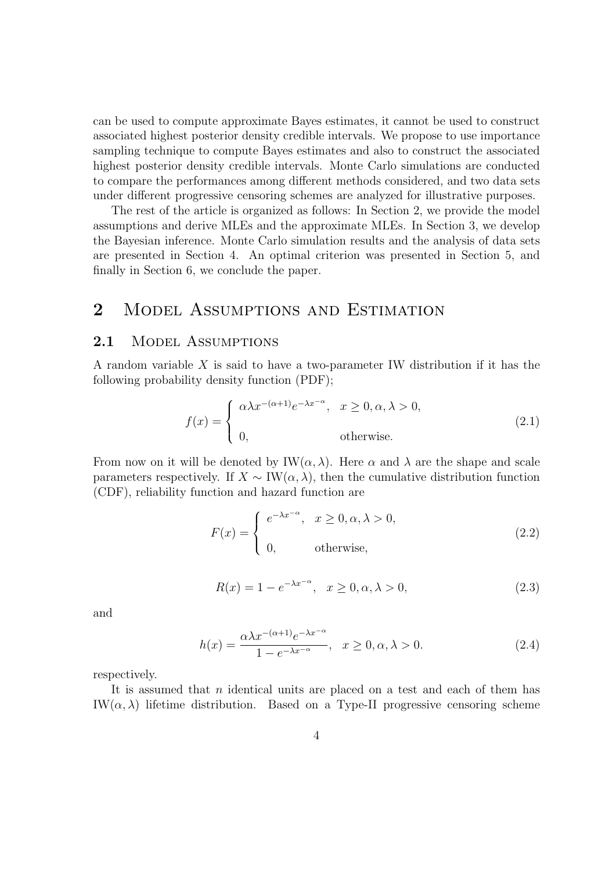can be used to compute approximate Bayes estimates, it cannot be used to construct associated highest posterior density credible intervals. We propose to use importance sampling technique to compute Bayes estimates and also to construct the associated highest posterior density credible intervals. Monte Carlo simulations are conducted to compare the performances among different methods considered, and two data sets under different progressive censoring schemes are analyzed for illustrative purposes.

The rest of the article is organized as follows: In Section 2, we provide the model assumptions and derive MLEs and the approximate MLEs. In Section 3, we develop the Bayesian inference. Monte Carlo simulation results and the analysis of data sets are presented in Section 4. An optimal criterion was presented in Section 5, and finally in Section 6, we conclude the paper.

## 2 MODEL ASSUMPTIONS AND ESTIMATION

### 2.1 MODEL ASSUMPTIONS

A random variable  $X$  is said to have a two-parameter IW distribution if it has the following probability density function (PDF);

$$
f(x) = \begin{cases} \alpha \lambda x^{-(\alpha+1)} e^{-\lambda x^{-\alpha}}, & x \ge 0, \alpha, \lambda > 0, \\ 0, & \text{otherwise.} \end{cases}
$$
 (2.1)

From now on it will be denoted by  $IW(\alpha, \lambda)$ . Here  $\alpha$  and  $\lambda$  are the shape and scale parameters respectively. If  $X \sim \text{IW}(\alpha, \lambda)$ , then the cumulative distribution function (CDF), reliability function and hazard function are

$$
F(x) = \begin{cases} e^{-\lambda x^{-\alpha}}, & x \ge 0, \alpha, \lambda > 0, \\ 0, & \text{otherwise,} \end{cases}
$$
 (2.2)

$$
R(x) = 1 - e^{-\lambda x^{-\alpha}}, \quad x \ge 0, \alpha, \lambda > 0,
$$
\n
$$
(2.3)
$$

and

$$
h(x) = \frac{\alpha \lambda x^{-(\alpha+1)} e^{-\lambda x^{-\alpha}}}{1 - e^{-\lambda x^{-\alpha}}}, \quad x \ge 0, \alpha, \lambda > 0.
$$
 (2.4)

respectively.

It is assumed that n identical units are placed on a test and each of them has IW( $\alpha$ ,  $\lambda$ ) lifetime distribution. Based on a Type-II progressive censoring scheme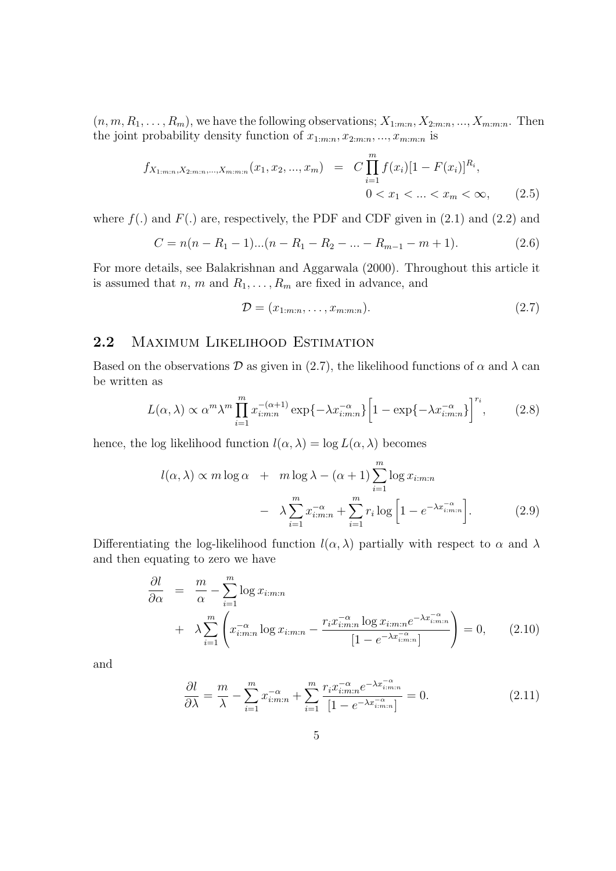$(n, m, R_1, \ldots, R_m)$ , we have the following observations;  $X_{1:m:n}, X_{2:m:n}, \ldots, X_{m:m:n}$ . Then the joint probability density function of  $x_{1:m:n}, x_{2:m:n}, ..., x_{m:m:n}$  is

$$
f_{X_{1:m:n}, X_{2:m:n}, \dots, X_{m:m:n}}(x_1, x_2, \dots, x_m) = C \prod_{i=1}^m f(x_i) [1 - F(x_i)]^{R_i},
$$
  
0 < x\_1 < \dots < x\_m < \infty, (2.5)

where  $f(.)$  and  $F(.)$  are, respectively, the PDF and CDF given in  $(2.1)$  and  $(2.2)$  and

$$
C = n(n - R_1 - 1)...(n - R_1 - R_2 - ... - R_{m-1} - m + 1). \tag{2.6}
$$

For more details, see Balakrishnan and Aggarwala (2000). Throughout this article it is assumed that  $n, m$  and  $R_1, \ldots, R_m$  are fixed in advance, and

$$
\mathcal{D} = (x_{1:m:n}, \dots, x_{m:m:n}).\tag{2.7}
$$

### 2.2 MAXIMUM LIKELIHOOD ESTIMATION

Based on the observations D as given in (2.7), the likelihood functions of  $\alpha$  and  $\lambda$  can be written as

$$
L(\alpha, \lambda) \propto \alpha^m \lambda^m \prod_{i=1}^m x_{i:m:n}^{-(\alpha+1)} \exp\{-\lambda x_{i:m:n}^{-\alpha}\} \left[1 - \exp\{-\lambda x_{i:m:n}^{-\alpha}\}\right]^{r_i},\tag{2.8}
$$

hence, the log likelihood function  $l(\alpha, \lambda) = \log L(\alpha, \lambda)$  becomes

$$
l(\alpha, \lambda) \propto m \log \alpha + m \log \lambda - (\alpha + 1) \sum_{i=1}^{m} \log x_{i:m:n}
$$

$$
- \lambda \sum_{i=1}^{m} x_{i:m:n}^{-\alpha} + \sum_{i=1}^{m} r_i \log \left[ 1 - e^{-\lambda x_{i:m:n}^{-\alpha}} \right]. \tag{2.9}
$$

Differentiating the log-likelihood function  $l(\alpha, \lambda)$  partially with respect to  $\alpha$  and  $\lambda$ and then equating to zero we have

$$
\frac{\partial l}{\partial \alpha} = \frac{m}{\alpha} - \sum_{i=1}^{m} \log x_{i:m:n}
$$

$$
+ \lambda \sum_{i=1}^{m} \left( x_{i:m:n}^{-\alpha} \log x_{i:m:n} - \frac{r_i x_{i:m:n}^{-\alpha} \log x_{i:m:n} e^{-\lambda x_{i:m:n}^{-\alpha}}}{[1 - e^{-\lambda x_{i:m:n}^{-\alpha}}]} \right) = 0, \qquad (2.10)
$$

and

$$
\frac{\partial l}{\partial \lambda} = \frac{m}{\lambda} - \sum_{i=1}^{m} x_{i:m:n}^{-\alpha} + \sum_{i=1}^{m} \frac{r_i x_{i:m:n}^{-\alpha} e^{-\lambda x_{i:m:n}^{-\alpha}}}{[1 - e^{-\lambda x_{i:m:n}^{-\alpha}}]} = 0.
$$
\n(2.11)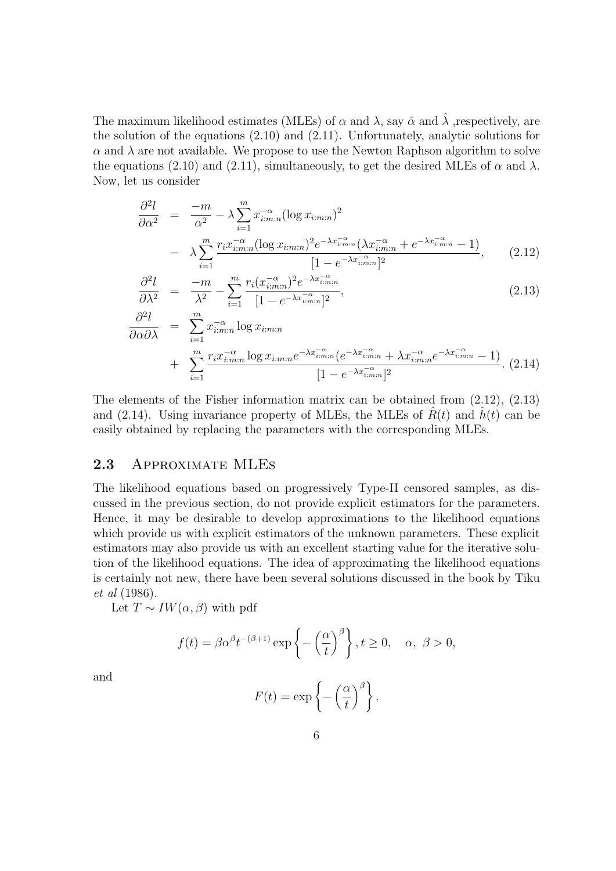The maximum likelihood estimates (MLEs) of  $\alpha$  and  $\lambda$ , say  $\hat{\alpha}$  and  $\lambda$ , respectively, are the solution of the equations (2.10) and (2.11). Unfortunately, analytic solutions for  $\alpha$  and  $\lambda$  are not available. We propose to use the Newton Raphson algorithm to solve the equations (2.10) and (2.11), simultaneously, to get the desired MLEs of  $\alpha$  and  $\lambda$ . Now, let us consider

$$
\frac{\partial^2 l}{\partial \alpha^2} = \frac{-m}{\alpha^2} - \lambda \sum_{i=1}^m x_{i:m:n}^{-\alpha} (\log x_{i:m:n})^2
$$

$$
- \lambda \sum_{i=1}^m \frac{r_i x_{i:m:n}^{-\alpha} (\log x_{i:m:n})^2 e^{-\lambda x_{i:m:n}^{-\alpha}} (\lambda x_{i:m:n}^{-\alpha} + e^{-\lambda x_{i:m:n}^{-\alpha}} - 1)}{[1 - e^{-\lambda x_{i:m:n}^{-\alpha}}]^2}, \qquad (2.12)
$$

$$
\frac{\partial^2 l}{\partial \lambda^2} = \frac{-m}{\lambda^2} - \sum_{i=1}^m \frac{r_i (x_{i:m:n}^{-\alpha})^2 e^{-\lambda x_{i:m:n}^{-\alpha}}}{[1 - e^{-\lambda x_{i:m:n}^{-\alpha}}]^2},
$$
\n(2.13)

$$
\frac{\partial^2 l}{\partial \alpha \partial \lambda} = \sum_{i=1}^m x_{i:m:n}^{-\alpha} \log x_{i:m:n}
$$
  
+ 
$$
\sum_{i=1}^m \frac{r_i x_{i:m:n}^{-\alpha} \log x_{i:m:n} e^{-\lambda x_{i:m:n}^{-\alpha}} (e^{-\lambda x_{i:m:n}^{-\alpha}} + \lambda x_{i:m:n}^{-\alpha} e^{-\lambda x_{i:m:n}^{-\alpha}} - 1)}{[1 - e^{-\lambda x_{i:m:n}}]^2}.
$$
 (2.14)

The elements of the Fisher information matrix can be obtained from (2.12), (2.13) and (2.14). Using invariance property of MLEs, the MLEs of  $R(t)$  and  $h(t)$  can be easily obtained by replacing the parameters with the corresponding MLEs.

### 2.3 Approximate MLEs

The likelihood equations based on progressively Type-II censored samples, as discussed in the previous section, do not provide explicit estimators for the parameters. Hence, it may be desirable to develop approximations to the likelihood equations which provide us with explicit estimators of the unknown parameters. These explicit estimators may also provide us with an excellent starting value for the iterative solution of the likelihood equations. The idea of approximating the likelihood equations is certainly not new, there have been several solutions discussed in the book by Tiku et al (1986).

Let  $T \sim IW(\alpha, \beta)$  with pdf

$$
f(t) = \beta \alpha^{\beta} t^{-(\beta+1)} \exp\left\{-\left(\frac{\alpha}{t}\right)^{\beta}\right\}, t \ge 0, \quad \alpha, \ \beta > 0,
$$

and

$$
F(t) = \exp\left\{-\left(\frac{\alpha}{t}\right)^{\beta}\right\}.
$$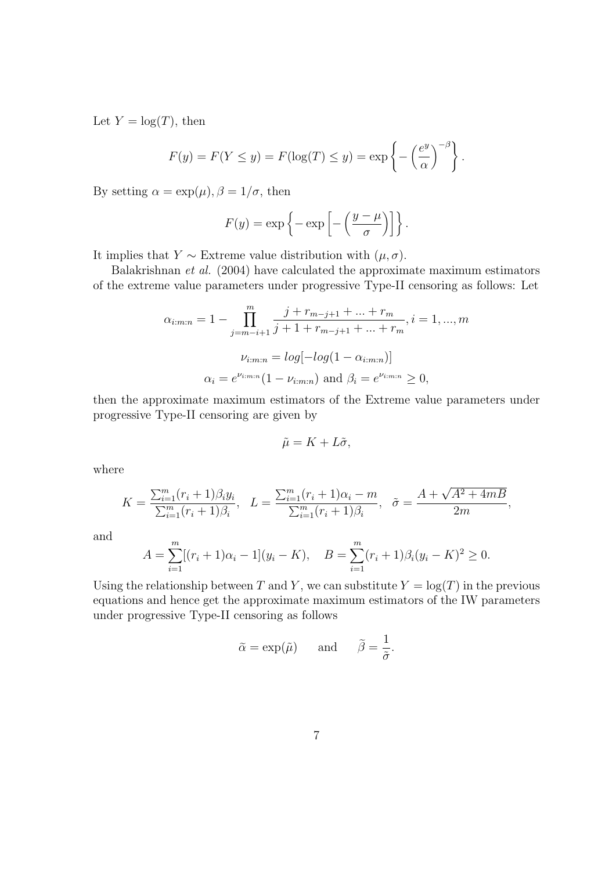Let  $Y = \log(T)$ , then

$$
F(y) = F(Y \le y) = F(\log(T) \le y) = \exp\left\{-\left(\frac{e^y}{\alpha}\right)^{-\beta}\right\}.
$$

By setting  $\alpha = \exp(\mu)$ ,  $\beta = 1/\sigma$ , then

$$
F(y) = \exp\left\{-\exp\left[-\left(\frac{y-\mu}{\sigma}\right)\right]\right\}.
$$

It implies that  $Y \sim$  Extreme value distribution with  $(\mu, \sigma)$ .

Balakrishnan et al. (2004) have calculated the approximate maximum estimators of the extreme value parameters under progressive Type-II censoring as follows: Let

$$
\alpha_{i:m:n} = 1 - \prod_{j=m-i+1}^{m} \frac{j + r_{m-j+1} + \dots + r_m}{j + 1 + r_{m-j+1} + \dots + r_m}, i = 1, ..., m
$$

$$
\nu_{i:m:n} = log[-log(1 - \alpha_{i:m:n})]
$$

$$
\alpha_i = e^{\nu_{i:m:n}}(1 - \nu_{i:m:n}) \text{ and } \beta_i = e^{\nu_{i:m:n}} \ge 0,
$$

then the approximate maximum estimators of the Extreme value parameters under progressive Type-II censoring are given by

$$
\tilde{\mu} = K + L\tilde{\sigma},
$$

where

$$
K = \frac{\sum_{i=1}^{m} (r_i + 1)\beta_i y_i}{\sum_{i=1}^{m} (r_i + 1)\beta_i}, \quad L = \frac{\sum_{i=1}^{m} (r_i + 1)\alpha_i - m}{\sum_{i=1}^{m} (r_i + 1)\beta_i}, \quad \tilde{\sigma} = \frac{A + \sqrt{A^2 + 4mB}}{2m},
$$

and

$$
A = \sum_{i=1}^{m} [(r_i + 1)\alpha_i - 1](y_i - K), \quad B = \sum_{i=1}^{m} (r_i + 1)\beta_i(y_i - K)^2 \ge 0.
$$

Using the relationship between T and Y, we can substitute  $Y = \log(T)$  in the previous equations and hence get the approximate maximum estimators of the IW parameters under progressive Type-II censoring as follows

$$
\tilde{\alpha} = \exp(\tilde{\mu})
$$
 and  $\tilde{\beta} = \frac{1}{\tilde{\sigma}}$ .

 $\overline{a}$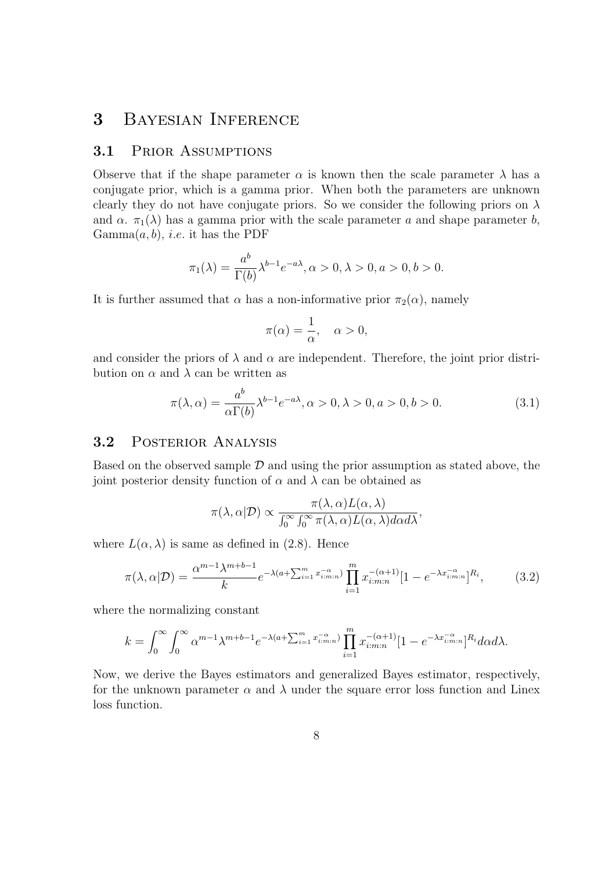# 3 Bayesian Inference

### 3.1 Prior Assumptions

Observe that if the shape parameter  $\alpha$  is known then the scale parameter  $\lambda$  has a conjugate prior, which is a gamma prior. When both the parameters are unknown clearly they do not have conjugate priors. So we consider the following priors on  $\lambda$ and  $\alpha$ .  $\pi_1(\lambda)$  has a gamma prior with the scale parameter a and shape parameter b,  $Gamma(a, b)$ , *i.e.* it has the PDF

$$
\pi_1(\lambda) = \frac{a^b}{\Gamma(b)} \lambda^{b-1} e^{-a\lambda}, \alpha > 0, \lambda > 0, a > 0, b > 0.
$$

It is further assumed that  $\alpha$  has a non-informative prior  $\pi_2(\alpha)$ , namely

$$
\pi(\alpha) = \frac{1}{\alpha}, \quad \alpha > 0,
$$

and consider the priors of  $\lambda$  and  $\alpha$  are independent. Therefore, the joint prior distribution on  $\alpha$  and  $\lambda$  can be written as

$$
\pi(\lambda, \alpha) = \frac{a^b}{\alpha \Gamma(b)} \lambda^{b-1} e^{-a\lambda}, \alpha > 0, \lambda > 0, a > 0, b > 0.
$$
\n(3.1)

### 3.2 Posterior Analysis

Based on the observed sample  $\mathcal D$  and using the prior assumption as stated above, the joint posterior density function of  $\alpha$  and  $\lambda$  can be obtained as

$$
\pi(\lambda, \alpha | \mathcal{D}) \propto \frac{\pi(\lambda, \alpha) L(\alpha, \lambda)}{\int_0^\infty \int_0^\infty \pi(\lambda, \alpha) L(\alpha, \lambda) d\alpha d\lambda},
$$

where  $L(\alpha, \lambda)$  is same as defined in (2.8). Hence

$$
\pi(\lambda, \alpha | \mathcal{D}) = \frac{\alpha^{m-1} \lambda^{m+b-1}}{k} e^{-\lambda(a + \sum_{i=1}^{m} x_{i:m:n}^{-\alpha})} \prod_{i=1}^{m} x_{i:m:n}^{-(\alpha+1)} [1 - e^{-\lambda x_{i:m:n}^{-\alpha}}]^{R_i},
$$
(3.2)

where the normalizing constant

$$
k = \int_0^\infty \int_0^\infty \alpha^{m-1} \lambda^{m+b-1} e^{-\lambda(a+\sum_{i=1}^m x_{i:m:n}^{-\alpha})} \prod_{i=1}^m x_{i:m:n}^{-(\alpha+1)} [1 - e^{-\lambda x_{i:m:n}^{-\alpha}}]^{R_i} d\alpha d\lambda.
$$

Now, we derive the Bayes estimators and generalized Bayes estimator, respectively, for the unknown parameter  $\alpha$  and  $\lambda$  under the square error loss function and Linex loss function.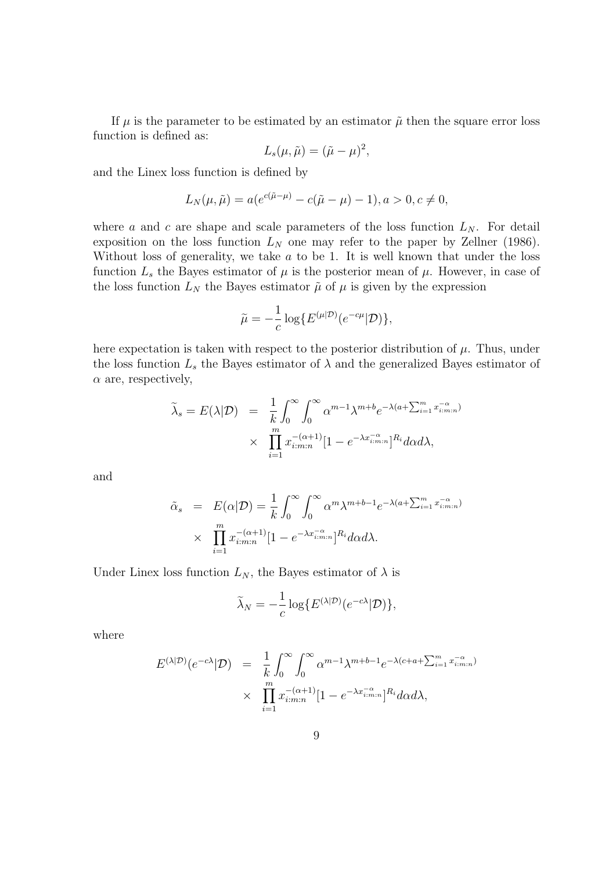If  $\mu$  is the parameter to be estimated by an estimator  $\tilde{\mu}$  then the square error loss function is defined as:

$$
L_s(\mu, \tilde{\mu}) = (\tilde{\mu} - \mu)^2,
$$

and the Linex loss function is defined by

$$
L_N(\mu, \tilde{\mu}) = a(e^{c(\tilde{\mu} - \mu)} - c(\tilde{\mu} - \mu) - 1), a > 0, c \neq 0,
$$

where a and c are shape and scale parameters of the loss function  $L<sub>N</sub>$ . For detail exposition on the loss function  $L<sub>N</sub>$  one may refer to the paper by Zellner (1986). Without loss of generality, we take  $a$  to be 1. It is well known that under the loss function  $L_s$  the Bayes estimator of  $\mu$  is the posterior mean of  $\mu$ . However, in case of the loss function  $L<sub>N</sub>$  the Bayes estimator  $\tilde{\mu}$  of  $\mu$  is given by the expression

$$
\tilde{\mu} = -\frac{1}{c} \log \{ E^{(\mu|\mathcal{D})} (e^{-c\mu}|\mathcal{D}) \},
$$

here expectation is taken with respect to the posterior distribution of  $\mu$ . Thus, under the loss function  $L<sub>s</sub>$  the Bayes estimator of  $\lambda$  and the generalized Bayes estimator of  $\alpha$  are, respectively,

$$
\tilde{\lambda}_s = E(\lambda | \mathcal{D}) = \frac{1}{k} \int_0^\infty \int_0^\infty \alpha^{m-1} \lambda^{m+b} e^{-\lambda(a + \sum_{i=1}^m x_{i:m:n}^{-\alpha})}
$$

$$
\times \prod_{i=1}^m x_{i:m:n}^{-(\alpha+1)} [1 - e^{-\lambda x_{i:m:n}^{-\alpha}}]^{R_i} d\alpha d\lambda,
$$

and

$$
\tilde{\alpha}_s = E(\alpha|\mathcal{D}) = \frac{1}{k} \int_0^\infty \int_0^\infty \alpha^m \lambda^{m+b-1} e^{-\lambda(a + \sum_{i=1}^m x_{i:m:n}^{-\alpha})}
$$

$$
\times \prod_{i=1}^m x_{i:m:n}^{-(\alpha+1)} [1 - e^{-\lambda x_{i:m:n}^{-\alpha}}]^{R_i} d\alpha d\lambda.
$$

Under Linex loss function  $L_N$ , the Bayes estimator of  $\lambda$  is

$$
\widetilde{\lambda}_N = -\frac{1}{c} \log \{ E^{(\lambda|\mathcal{D})} (e^{-c\lambda}|\mathcal{D}) \},\
$$

where

$$
E^{(\lambda|\mathcal{D})}(e^{-c\lambda}|\mathcal{D}) = \frac{1}{k} \int_0^\infty \int_0^\infty \alpha^{m-1} \lambda^{m+b-1} e^{-\lambda(c+a+\sum_{i=1}^m x_{i:m:n}^{-\alpha})}
$$

$$
\times \prod_{i=1}^m x_{i:m:n}^{-(\alpha+1)} [1 - e^{-\lambda x_{i:m:n}^{-\alpha}}]^{R_i} d\alpha d\lambda,
$$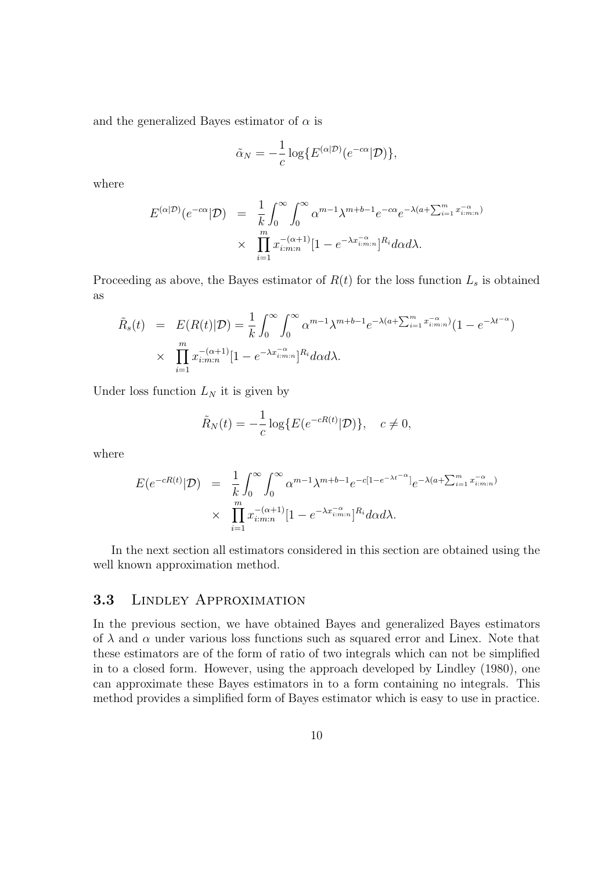and the generalized Bayes estimator of  $\alpha$  is

$$
\tilde{\alpha}_N = -\frac{1}{c} \log \{ E^{(\alpha|\mathcal{D})} (e^{-c\alpha}|\mathcal{D}) \},\
$$

where

$$
E^{(\alpha|\mathcal{D})}(e^{-c\alpha}|\mathcal{D}) = \frac{1}{k} \int_0^\infty \int_0^\infty \alpha^{m-1} \lambda^{m+b-1} e^{-c\alpha} e^{-\lambda(a+\sum_{i=1}^m x_{i:m:n}^{-\alpha})}
$$

$$
\times \prod_{i=1}^m x_{i:m:n}^{-(\alpha+1)} [1 - e^{-\lambda x_{i:m:n}^{-\alpha}}]^{R_i} d\alpha d\lambda.
$$

Proceeding as above, the Bayes estimator of  $R(t)$  for the loss function  $L_s$  is obtained as

$$
\tilde{R}_s(t) = E(R(t)|\mathcal{D}) = \frac{1}{k} \int_0^\infty \int_0^\infty \alpha^{m-1} \lambda^{m+b-1} e^{-\lambda(a+\sum_{i=1}^m x_{i:m:n}^{-\alpha})} (1 - e^{-\lambda t^{-\alpha}})
$$
\n
$$
\times \prod_{i=1}^m x_{i:m:n}^{-(\alpha+1)} [1 - e^{-\lambda x_{i:m:n}^{-\alpha}}]^{R_i} d\alpha d\lambda.
$$

Under loss function  $L<sub>N</sub>$  it is given by

$$
\tilde{R}_N(t) = -\frac{1}{c} \log \{ E(e^{-cR(t)}|\mathcal{D}) \}, \quad c \neq 0,
$$

where

$$
E(e^{-cR(t)}|\mathcal{D}) = \frac{1}{k} \int_0^\infty \int_0^\infty \alpha^{m-1} \lambda^{m+b-1} e^{-c[1-e^{-\lambda t^{-\alpha}}]} e^{-\lambda(a+\sum_{i=1}^m x_{i:m:n}^{-\alpha})}
$$

$$
\times \prod_{i=1}^m x_{i:m:n}^{-(\alpha+1)} [1 - e^{-\lambda x_{i:m:n}^{-\alpha}}]^{R_i} d\alpha d\lambda.
$$

In the next section all estimators considered in this section are obtained using the well known approximation method.

### 3.3 Lindley Approximation

In the previous section, we have obtained Bayes and generalized Bayes estimators of  $\lambda$  and  $\alpha$  under various loss functions such as squared error and Linex. Note that these estimators are of the form of ratio of two integrals which can not be simplified in to a closed form. However, using the approach developed by Lindley (1980), one can approximate these Bayes estimators in to a form containing no integrals. This method provides a simplified form of Bayes estimator which is easy to use in practice.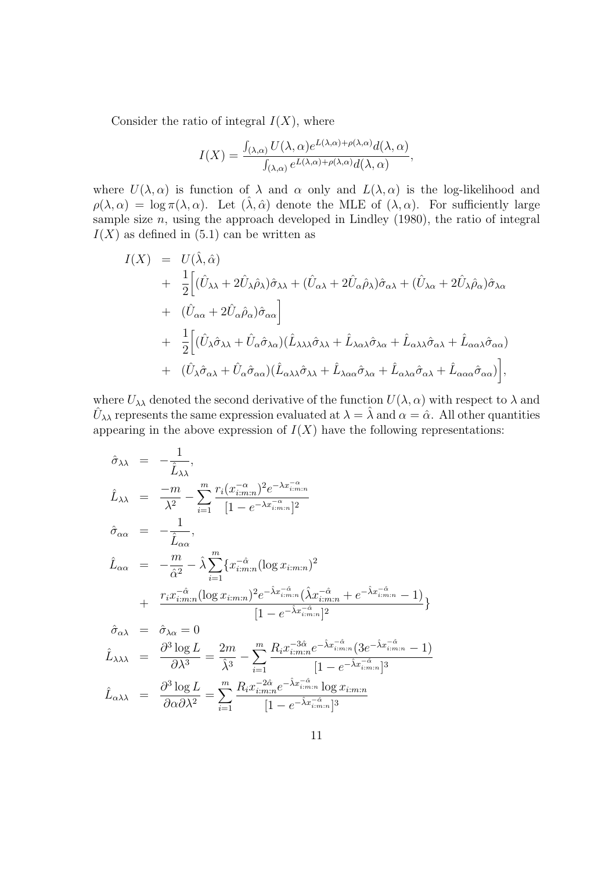Consider the ratio of integral  $I(X)$ , where

$$
I(X) = \frac{\int_{(\lambda,\alpha)} U(\lambda,\alpha) e^{L(\lambda,\alpha) + \rho(\lambda,\alpha)} d(\lambda,\alpha)}{\int_{(\lambda,\alpha)} e^{L(\lambda,\alpha) + \rho(\lambda,\alpha)} d(\lambda,\alpha)},
$$

where  $U(\lambda, \alpha)$  is function of  $\lambda$  and  $\alpha$  only and  $L(\lambda, \alpha)$  is the log-likelihood and  $\rho(\lambda, \alpha) = \log \pi(\lambda, \alpha)$ . Let  $(\lambda, \hat{\alpha})$  denote the MLE of  $(\lambda, \alpha)$ . For sufficiently large sample size  $n$ , using the approach developed in Lindley  $(1980)$ , the ratio of integral  $I(X)$  as defined in (5.1) can be written as

$$
I(X) = U(\hat{\lambda}, \hat{\alpha})
$$
  
+  $\frac{1}{2} \Big[ (\hat{U}_{\lambda\lambda} + 2\hat{U}_{\lambda}\hat{\rho}_{\lambda})\hat{\sigma}_{\lambda\lambda} + (\hat{U}_{\alpha\lambda} + 2\hat{U}_{\alpha}\hat{\rho}_{\lambda})\hat{\sigma}_{\alpha\lambda} + (\hat{U}_{\lambda\alpha} + 2\hat{U}_{\lambda}\hat{\rho}_{\alpha})\hat{\sigma}_{\lambda\alpha} + (\hat{U}_{\alpha\alpha} + 2\hat{U}_{\alpha}\hat{\rho}_{\alpha})\hat{\sigma}_{\alpha\alpha} \Big] + \frac{1}{2} \Big[ (\hat{U}_{\lambda}\hat{\sigma}_{\lambda\lambda} + \hat{U}_{\alpha}\hat{\sigma}_{\lambda\alpha})(\hat{L}_{\lambda\lambda\lambda}\hat{\sigma}_{\lambda\lambda} + \hat{L}_{\lambda\alpha\lambda}\hat{\sigma}_{\lambda\alpha} + \hat{L}_{\alpha\lambda\lambda}\hat{\sigma}_{\alpha\lambda} + \hat{L}_{\alpha\alpha\lambda}\hat{\sigma}_{\alpha\alpha}) + (\hat{U}_{\lambda}\hat{\sigma}_{\alpha\lambda} + \hat{U}_{\alpha}\hat{\sigma}_{\alpha\alpha})(\hat{L}_{\alpha\lambda\lambda}\hat{\sigma}_{\lambda\lambda} + \hat{L}_{\lambda\alpha\alpha}\hat{\sigma}_{\lambda\alpha} + \hat{L}_{\alpha\lambda\alpha}\hat{\sigma}_{\alpha\lambda} + \hat{L}_{\alpha\alpha\alpha}\hat{\sigma}_{\alpha\alpha}) \Big],$ 

where  $U_{\lambda\lambda}$  denoted the second derivative of the function  $U(\lambda, \alpha)$  with respect to  $\lambda$  and  $\hat{U}_{\lambda\lambda}$  represents the same expression evaluated at  $\lambda = \hat{\lambda}$  and  $\alpha = \hat{\alpha}$ . All other quantities appearing in the above expression of  $I(X)$  have the following representations:

$$
\hat{\sigma}_{\lambda\lambda} = -\frac{1}{\hat{L}_{\lambda\lambda}},
$$
\n
$$
\hat{L}_{\lambda\lambda} = \frac{-m}{\lambda^2} - \sum_{i=1}^{m} \frac{r_i (x_{i:m:n}^{-\alpha})^2 e^{-\lambda x_{i:m:n}^{-\alpha}}}{[1 - e^{-\lambda x_{i:m:n}^{-\alpha}}]^2}
$$
\n
$$
\hat{\sigma}_{\alpha\alpha} = -\frac{1}{\hat{L}_{\alpha\alpha}},
$$
\n
$$
\hat{L}_{\alpha\alpha} = -\frac{m}{\hat{\alpha}^2} - \hat{\lambda} \sum_{i=1}^{m} \{x_{i:m:n}^{-\hat{\alpha}} (\log x_{i:m:n})^2 + \frac{r_i x_{i:m:n}^{-\hat{\alpha}} (\log x_{i:m:n})^2 e^{-\hat{\lambda} x_{i:m:n}^{-\hat{\alpha}} (\hat{\lambda} x_{i:m:n}^{-\hat{\alpha}} + e^{-\hat{\lambda} x_{i:m:n}^{-\hat{\alpha}} - 1)}}{[1 - e^{-\hat{\lambda} x_{i:m:n}^{-\hat{\alpha}}}]^2} \}
$$
\n
$$
\hat{\sigma}_{\alpha\lambda} = \hat{\sigma}_{\lambda\alpha} = 0
$$
\n
$$
\hat{L}_{\lambda\lambda\lambda} = \frac{\partial^3 \log L}{\partial \lambda^3} = \frac{2m}{\hat{\lambda}^3} - \sum_{i=1}^{m} \frac{R_i x_{i:m:n}^{-3\hat{\alpha}} e^{-\hat{\lambda} x_{i:m:n}^{-\hat{\alpha}} (3e^{-\hat{\lambda} x_{i:m:n}^{-\hat{\alpha}} - 1)}}{[1 - e^{-\hat{\lambda} x_{i:m:n}^{-\hat{\alpha}}}]^3}
$$

$$
\hat{L}_{\alpha\lambda\lambda} = \frac{\partial^3 \log L}{\partial \alpha \partial \lambda^2} = \sum_{i=1}^m \frac{R_i x_{i:m:n}^{-2\hat{\alpha}} e^{-\hat{\lambda} x_{i:m:n}^{-\hat{\alpha}}} \log x_{i:m:n}}{[1 - e^{-\hat{\lambda} x_{i:m:n}}]^3}
$$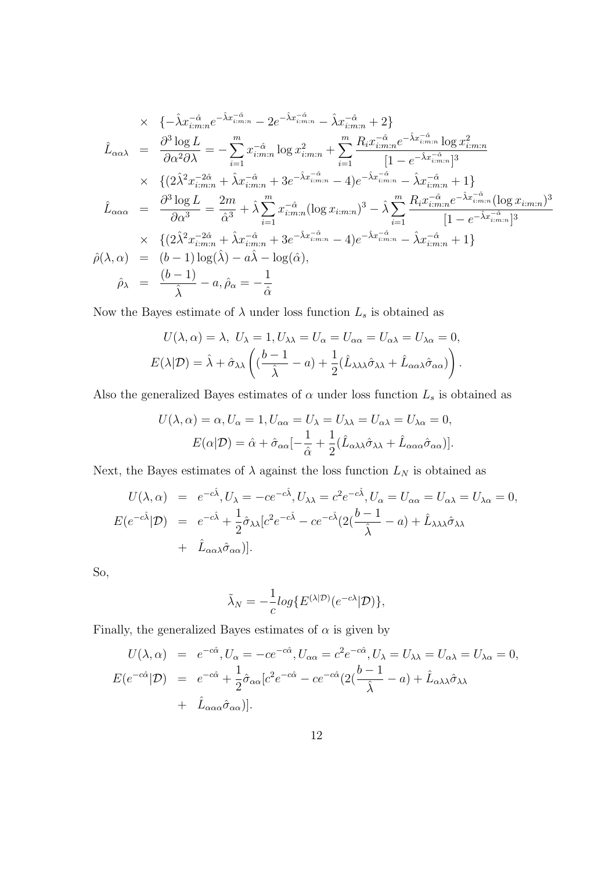$$
\times \{ -\hat{\lambda}x_{i:m:n}^{-\hat{\alpha}}e^{-\hat{\lambda}x_{i:m:n}^{-\hat{\alpha}}}-2e^{-\hat{\lambda}x_{i:m:n}^{-\hat{\alpha}}}-\hat{\lambda}x_{i:m:n}^{-\hat{\alpha}}+2 \}
$$
\n
$$
\hat{L}_{\alpha\alpha\lambda} = \frac{\partial^3 \log L}{\partial \alpha^2 \partial \lambda} = -\sum_{i=1}^m x_{i:m:n}^{-\hat{\alpha}} \log x_{i:m:n}^2 + \sum_{i=1}^m \frac{R_i x_{i:m:n}^{-\hat{\alpha}}e^{-\hat{\lambda}x_{i:m:n}^{-\hat{\alpha}}}\log x_{i:m:n}^2}{[1-e^{-\hat{\lambda}x_{i:m:n}^{-\hat{\alpha}}}]^3}
$$
\n
$$
\times \{(2\hat{\lambda}^2 x_{i:m:n}^{-2\hat{\alpha}} + \hat{\lambda}x_{i:m:n}^{-\hat{\alpha}} + 3e^{-\hat{\lambda}x_{i:m:n}^{-\hat{\alpha}}}-4)e^{-\hat{\lambda}x_{i:m:n}^{-\hat{\alpha}}}-\hat{\lambda}x_{i:m:n}^{-\hat{\alpha}}+1 \}
$$
\n
$$
\hat{L}_{\alpha\alpha\alpha} = \frac{\partial^3 \log L}{\partial \alpha^3} = \frac{2m}{\hat{\alpha}^3} + \hat{\lambda} \sum_{i=1}^m x_{i:m:n}^{-\hat{\alpha}} (\log x_{i:m:n})^3 - \hat{\lambda} \sum_{i=1}^m \frac{R_i x_{i:m:n}^{-\hat{\alpha}}e^{-\hat{\lambda}x_{i:m:n}^{-\hat{\alpha}}}{[1-e^{-\hat{\lambda}x_{i:m:n}^{-\hat{\alpha}}}]^3}
$$
\n
$$
\times \{(2\hat{\lambda}^2 x_{i:m:n}^{-2\hat{\alpha}} + \hat{\lambda}x_{i:m:n}^{-\hat{\alpha}} + 3e^{-\hat{\lambda}x_{i:m:n}^{-\hat{\alpha}}}-4)e^{-\hat{\lambda}x_{i:m:n}^{-\hat{\alpha}}}-\hat{\lambda}x_{i:m:n}^{-\hat{\alpha}}+1 \}
$$
\n
$$
\hat{\rho}(\lambda, \alpha) = (b-1) \log(\hat{\lambda}) - a\hat{\lambda} - \log(\hat{\alpha}),
$$
\n
$$
\hat{\rho}_{\lambda} = \frac{(b-1)}{\hat{\lambda}} - a, \hat{\rho}_{\alpha} = -\frac{1}{\hat{\alpha}}
$$

Now the Bayes estimate of  $\lambda$  under loss function  $L_s$  is obtained as

$$
U(\lambda, \alpha) = \lambda, \ U_{\lambda} = 1, U_{\lambda\lambda} = U_{\alpha} = U_{\alpha\alpha} = U_{\alpha\lambda} = U_{\lambda\alpha} = 0,
$$
  

$$
E(\lambda | \mathcal{D}) = \hat{\lambda} + \hat{\sigma}_{\lambda\lambda} \left( \frac{b-1}{\hat{\lambda}} - a \right) + \frac{1}{2} (\hat{L}_{\lambda\lambda\lambda} \hat{\sigma}_{\lambda\lambda} + \hat{L}_{\alpha\alpha\lambda} \hat{\sigma}_{\alpha\alpha}) \right).
$$

Also the generalized Bayes estimates of  $\alpha$  under loss function  $L_s$  is obtained as

$$
U(\lambda, \alpha) = \alpha, U_{\alpha} = 1, U_{\alpha\alpha} = U_{\lambda} = U_{\lambda\lambda} = U_{\alpha\lambda} = U_{\lambda\alpha} = 0,
$$
  

$$
E(\alpha | \mathcal{D}) = \hat{\alpha} + \hat{\sigma}_{\alpha\alpha} \left[ -\frac{1}{\hat{\alpha}} + \frac{1}{2} (\hat{L}_{\alpha\lambda\lambda} \hat{\sigma}_{\lambda\lambda} + \hat{L}_{\alpha\alpha\alpha} \hat{\sigma}_{\alpha\alpha}) \right].
$$

Next, the Bayes estimates of  $\lambda$  against the loss function  $L_N$  is obtained as

$$
U(\lambda, \alpha) = e^{-c\hat{\lambda}}, U_{\lambda} = -ce^{-c\hat{\lambda}}, U_{\lambda\lambda} = c^2 e^{-c\hat{\lambda}}, U_{\alpha} = U_{\alpha\alpha} = U_{\alpha\lambda} = U_{\lambda\alpha} = 0,
$$
  
\n
$$
E(e^{-c\hat{\lambda}}|\mathcal{D}) = e^{-c\hat{\lambda}} + \frac{1}{2}\hat{\sigma}_{\lambda\lambda}[c^2 e^{-c\hat{\lambda}} - ce^{-c\hat{\lambda}}(2(\frac{b-1}{\hat{\lambda}} - a) + \hat{L}_{\lambda\lambda\lambda}\hat{\sigma}_{\lambda\lambda} + \hat{L}_{\alpha\alpha\lambda}\hat{\sigma}_{\alpha\alpha})].
$$

So,

$$
\tilde{\lambda}_N = -\frac{1}{c} \log \{ E^{(\lambda|\mathcal{D})} (e^{-c\lambda}|\mathcal{D}) \},\
$$

Finally, the generalized Bayes estimates of  $\alpha$  is given by

$$
U(\lambda, \alpha) = e^{-c\hat{\alpha}}, U_{\alpha} = -ce^{-c\hat{\alpha}}, U_{\alpha\alpha} = c^2 e^{-c\hat{\alpha}}, U_{\lambda} = U_{\lambda\lambda} = U_{\alpha\lambda} = U_{\lambda\alpha} = 0,
$$
  
\n
$$
E(e^{-c\hat{\alpha}}|\mathcal{D}) = e^{-c\hat{\alpha}} + \frac{1}{2}\hat{\sigma}_{\alpha\alpha}[c^2 e^{-c\hat{\alpha}} - ce^{-c\hat{\alpha}}(2(\frac{b-1}{\hat{\lambda}} - a) + \hat{L}_{\alpha\lambda\lambda}\hat{\sigma}_{\lambda\lambda} + \hat{L}_{\alpha\alpha\alpha}\hat{\sigma}_{\alpha\alpha})].
$$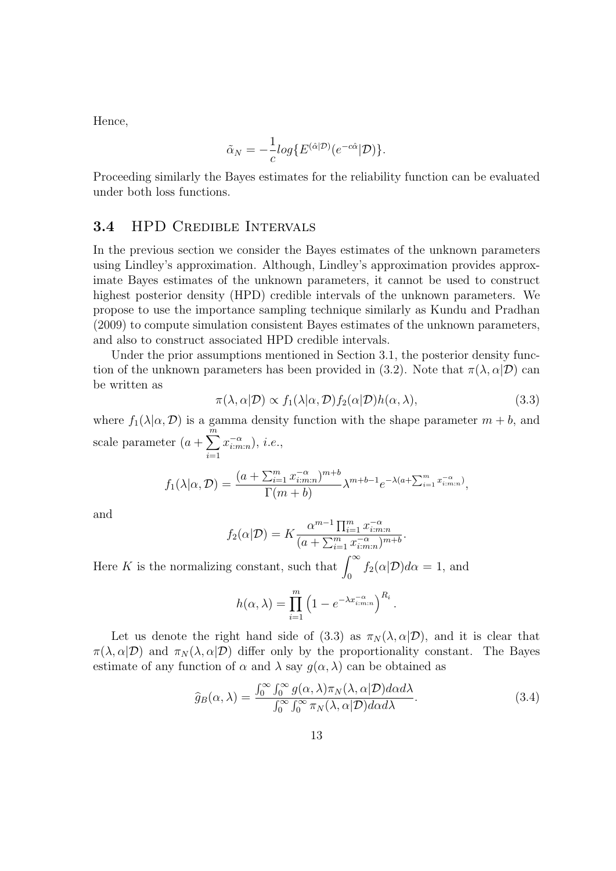Hence,

$$
\tilde{\alpha}_N = -\frac{1}{c} \log \{ E^{(\hat{\alpha}|\mathcal{D})} (e^{-c\hat{\alpha}}|\mathcal{D}) \}.
$$

Proceeding similarly the Bayes estimates for the reliability function can be evaluated under both loss functions.

### 3.4 HPD Credible Intervals

In the previous section we consider the Bayes estimates of the unknown parameters using Lindley's approximation. Although, Lindley's approximation provides approximate Bayes estimates of the unknown parameters, it cannot be used to construct highest posterior density (HPD) credible intervals of the unknown parameters. We propose to use the importance sampling technique similarly as Kundu and Pradhan (2009) to compute simulation consistent Bayes estimates of the unknown parameters, and also to construct associated HPD credible intervals.

Under the prior assumptions mentioned in Section 3.1, the posterior density function of the unknown parameters has been provided in (3.2). Note that  $\pi(\lambda, \alpha | \mathcal{D})$  can be written as

$$
\pi(\lambda, \alpha | \mathcal{D}) \propto f_1(\lambda | \alpha, \mathcal{D}) f_2(\alpha | \mathcal{D}) h(\alpha, \lambda), \tag{3.3}
$$

where  $f_1(\lambda|\alpha, \mathcal{D})$  is a gamma density function with the shape parameter  $m + b$ , and scale parameter  $(a + \sum_{n=1}^{m} a_n)$  $i=1$  $x_{i:m:n}^{-\alpha}$ , *i.e.*,

$$
f_1(\lambda|\alpha,\mathcal{D}) = \frac{(a + \sum_{i=1}^m x_{i:m:n}^{-\alpha})^{m+b}}{\Gamma(m+b)} \lambda^{m+b-1} e^{-\lambda(a + \sum_{i=1}^m x_{i:m:n}^{-\alpha})},
$$

and

$$
f_2(\alpha|\mathcal{D}) = K \frac{\alpha^{m-1} \prod_{i=1}^m x_{i:m:n}^{-\alpha}}{(a + \sum_{i=1}^m x_{i:m:n}^{-\alpha})^{m+b}}.
$$

Here K is the normalizing constant, such that  $\int_0^\infty f_2(\alpha|\mathcal{D})d\alpha = 1$ , and

$$
h(\alpha,\lambda) = \prod_{i=1}^{m} \left(1 - e^{-\lambda x_{i:m:n}^{-\alpha}}\right)^{R_i}.
$$

Let us denote the right hand side of (3.3) as  $\pi_N(\lambda, \alpha | \mathcal{D})$ , and it is clear that  $\pi(\lambda, \alpha | \mathcal{D})$  and  $\pi_N(\lambda, \alpha | \mathcal{D})$  differ only by the proportionality constant. The Bayes estimate of any function of  $\alpha$  and  $\lambda$  say  $g(\alpha, \lambda)$  can be obtained as

$$
\widehat{g}_B(\alpha,\lambda) = \frac{\int_0^\infty \int_0^\infty g(\alpha,\lambda)\pi_N(\lambda,\alpha|\mathcal{D})d\alpha d\lambda}{\int_0^\infty \int_0^\infty \pi_N(\lambda,\alpha|\mathcal{D})d\alpha d\lambda}.\tag{3.4}
$$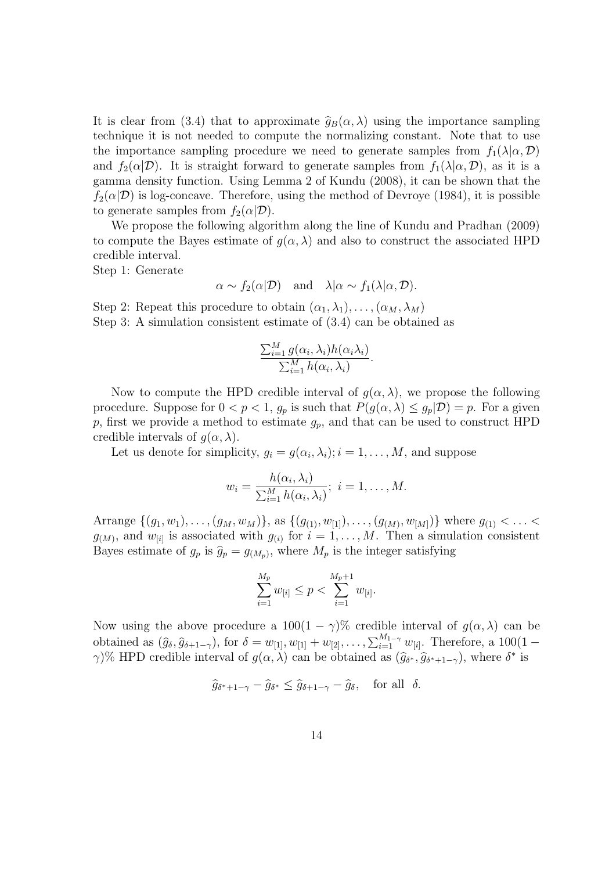It is clear from (3.4) that to approximate  $\hat{g}_B(\alpha, \lambda)$  using the importance sampling technique it is not needed to compute the normalizing constant. Note that to use the importance sampling procedure we need to generate samples from  $f_1(\lambda|\alpha, \mathcal{D})$ and  $f_2(\alpha|\mathcal{D})$ . It is straight forward to generate samples from  $f_1(\lambda|\alpha,\mathcal{D})$ , as it is a gamma density function. Using Lemma 2 of Kundu (2008), it can be shown that the  $f_2(\alpha|\mathcal{D})$  is log-concave. Therefore, using the method of Devroye (1984), it is possible to generate samples from  $f_2(\alpha|\mathcal{D})$ .

We propose the following algorithm along the line of Kundu and Pradhan (2009) to compute the Bayes estimate of  $g(\alpha, \lambda)$  and also to construct the associated HPD credible interval.

Step 1: Generate

$$
\alpha \sim f_2(\alpha | \mathcal{D})
$$
 and  $\lambda | \alpha \sim f_1(\lambda | \alpha, \mathcal{D})$ .

Step 2: Repeat this procedure to obtain  $(\alpha_1, \lambda_1), \ldots, (\alpha_M, \lambda_M)$ Step 3: A simulation consistent estimate of (3.4) can be obtained as

$$
\frac{\sum_{i=1}^{M} g(\alpha_i, \lambda_i) h(\alpha_i \lambda_i)}{\sum_{i=1}^{M} h(\alpha_i, \lambda_i)}
$$

.

Now to compute the HPD credible interval of  $q(\alpha, \lambda)$ , we propose the following procedure. Suppose for  $0 < p < 1$ ,  $g_p$  is such that  $P(g(\alpha, \lambda) \le g_p | \mathcal{D}) = p$ . For a given p, first we provide a method to estimate  $g_p$ , and that can be used to construct HPD credible intervals of  $q(\alpha, \lambda)$ .

Let us denote for simplicity,  $g_i = g(\alpha_i, \lambda_i); i = 1, \dots, M$ , and suppose

$$
w_i = \frac{h(\alpha_i, \lambda_i)}{\sum_{i=1}^M h(\alpha_i, \lambda_i)}; \ i = 1, \dots, M.
$$

Arrange  $\{(g_1, w_1), \ldots, (g_M, w_M)\}\$ , as  $\{(g_{(1)}, w_{[1]})$ , ...,  $(g_{(M)}, w_{[M]})\}\$  where  $g_{(1)}$  < ... <  $g_{(M)}$ , and  $w_{[i]}$  is associated with  $g_{(i)}$  for  $i = 1, \ldots, M$ . Then a simulation consistent Bayes estimate of  $g_p$  is  $\hat{g}_p = g_{(M_p)}$ , where  $M_p$  is the integer satisfying

$$
\sum_{i=1}^{M_p} w_{[i]} \le p < \sum_{i=1}^{M_p+1} w_{[i]}.
$$

Now using the above procedure a  $100(1 - \gamma)\%$  credible interval of  $g(\alpha, \lambda)$  can be obtained as  $(\hat{g}_{\delta}, \hat{g}_{\delta+1-\gamma})$ , for  $\delta = w_{[1]}, w_{[1]} + w_{[2]}, \ldots, \sum_{i=1}^{M_{1-\gamma}} w_{[i]}$ . Therefore, a  $100(1 \gamma$ )% HPD credible interval of  $g(\alpha, \lambda)$  can be obtained as  $(\hat{g}_{\delta^*}, \hat{g}_{\delta^*+1-\gamma})$ , where  $\delta^*$  is

$$
\widehat{g}_{\delta^*+1-\gamma} - \widehat{g}_{\delta^*} \le \widehat{g}_{\delta+1-\gamma} - \widehat{g}_{\delta}, \quad \text{for all} \ \delta.
$$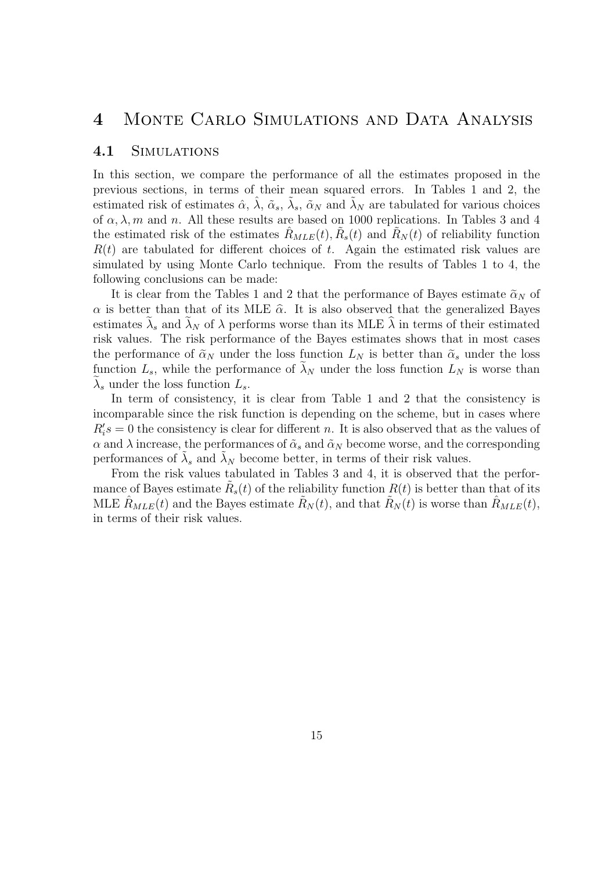# 4 Monte Carlo Simulations and Data Analysis

#### 4.1 Simulations

In this section, we compare the performance of all the estimates proposed in the previous sections, in terms of their mean squared errors. In Tables 1 and 2, the estimated risk of estimates  $\hat{\alpha}$ ,  $\hat{\lambda}$ ,  $\tilde{\alpha}_s$ ,  $\tilde{\lambda}_s$ ,  $\tilde{\alpha}_N$  and  $\tilde{\lambda}_N$  are tabulated for various choices of  $\alpha$ ,  $\lambda$ , m and n. All these results are based on 1000 replications. In Tables 3 and 4 the estimated risk of the estimates  $\hat{R}_{MLE}(t), \tilde{R}_{s}(t)$  and  $\tilde{R}_{N}(t)$  of reliability function  $R(t)$  are tabulated for different choices of t. Again the estimated risk values are simulated by using Monte Carlo technique. From the results of Tables 1 to 4, the following conclusions can be made:

It is clear from the Tables 1 and 2 that the performance of Bayes estimate  $\tilde{\alpha}_N$  of  $\alpha$  is better than that of its MLE  $\hat{\alpha}$ . It is also observed that the generalized Bayes estimates  $\lambda_s$  and  $\lambda_N$  of  $\lambda$  performs worse than its MLE  $\lambda$  in terms of their estimated risk values. The risk performance of the Bayes estimates shows that in most cases the performance of  $\tilde{\alpha}_N$  under the loss function  $L_N$  is better than  $\tilde{\alpha}_s$  under the loss function  $L_s$ , while the performance of  $\lambda_N$  under the loss function  $L_N$  is worse than  $\lambda_s$  under the loss function  $L_s$ .

In term of consistency, it is clear from Table 1 and 2 that the consistency is incomparable since the risk function is depending on the scheme, but in cases where  $R_i$ 's = 0 the consistency is clear for different n. It is also observed that as the values of  $\alpha$  and  $\lambda$  increase, the performances of  $\tilde{\alpha}_s$  and  $\tilde{\alpha}_N$  become worse, and the corresponding performances of  $\tilde{\lambda}_s$  and  $\tilde{\lambda}_N$  become better, in terms of their risk values.

From the risk values tabulated in Tables 3 and 4, it is observed that the performance of Bayes estimate  $\tilde{R}_s(t)$  of the reliability function  $R(t)$  is better than that of its MLE  $\hat{R}_{MLE}(t)$  and the Bayes estimate  $\hat{R}_N(t)$ , and that  $\hat{R}_N(t)$  is worse than  $\hat{R}_{MLE}(t)$ , in terms of their risk values.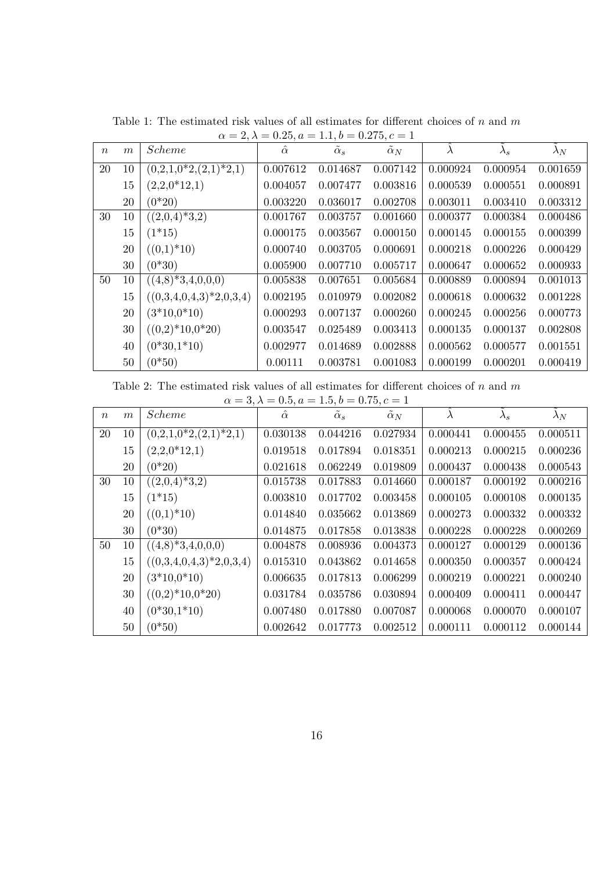| $\boldsymbol{n}$ | $\boldsymbol{m}$ | <i>Scheme</i>             | $\hat{\alpha}$ | $\tilde{\alpha}_s$ | $\tilde{\alpha}_N$ | λ        | $\lambda_s$ | $\lambda_N$ |
|------------------|------------------|---------------------------|----------------|--------------------|--------------------|----------|-------------|-------------|
| 20               | 10               | $(0,2,1,0^*2,(2,1)^*2,1)$ | 0.007612       | 0.014687           | 0.007142           | 0.000924 | 0.000954    | 0.001659    |
|                  | 15               | $(2,2,0*12,1)$            | 0.004057       | 0.007477           | 0.003816           | 0.000539 | 0.000551    | 0.000891    |
|                  | 20               | $(0*20)$                  | 0.003220       | 0.036017           | 0.002708           | 0.003011 | 0.003410    | 0.003312    |
| 30               | 10               | $((2,0,4)^*3,2)$          | 0.001767       | 0.003757           | 0.001660           | 0.000377 | 0.000384    | 0.000486    |
|                  | 15               | $(1*15)$                  | 0.000175       | 0.003567           | 0.000150           | 0.000145 | 0.000155    | 0.000399    |
|                  | 20               | $((0,1)*10)$              | 0.000740       | 0.003705           | 0.000691           | 0.000218 | 0.000226    | 0.000429    |
|                  | 30               | $(0*30)$                  | 0.005900       | 0.007710           | 0.005717           | 0.000647 | 0.000652    | 0.000933    |
| 50               | 10               | $((4,8)^*3,4,0,0,0)$      | 0.005838       | 0.007651           | 0.005684           | 0.000889 | 0.000894    | 0.001013    |
|                  | 15               | $((0,3,4,0,4,3)*2,0,3,4)$ | 0.002195       | 0.010979           | 0.002082           | 0.000618 | 0.000632    | 0.001228    |
|                  | 20               | $(3*10,0*10)$             | 0.000293       | 0.007137           | 0.000260           | 0.000245 | 0.000256    | 0.000773    |
|                  | 30               | $((0,2)*10,0*20)$         | 0.003547       | 0.025489           | 0.003413           | 0.000135 | 0.000137    | 0.002808    |
|                  | 40               | $(0*30,1*10)$             | 0.002977       | 0.014689           | 0.002888           | 0.000562 | 0.000577    | 0.001551    |
|                  | 50               | $(0*50)$                  | 0.00111        | 0.003781           | 0.001083           | 0.000199 | 0.000201    | 0.000419    |

Table 1: The estimated risk values of all estimates for different choices of  $n$  and  $m$  $\alpha = 2, \lambda = 0.25, a = 1.1, b = 0.275, c = 1$ 

Table 2: The estimated risk values of all estimates for different choices of  $n$  and  $m$ 

|                  | $\alpha = 3, \lambda = 0.5, a = 1.5, b = 0.75, c = 1$ |                           |                |                    |            |           |             |             |  |  |  |  |
|------------------|-------------------------------------------------------|---------------------------|----------------|--------------------|------------|-----------|-------------|-------------|--|--|--|--|
| $\boldsymbol{n}$ | m                                                     | <i>Scheme</i>             | $\hat{\alpha}$ | $\tilde{\alpha}_s$ | $\alpha_N$ | $\lambda$ | $\lambda_s$ | $\lambda_N$ |  |  |  |  |
| 20               | 10                                                    | $(0,2,1,0^*2,(2,1)^*2,1)$ | 0.030138       | 0.044216           | 0.027934   | 0.000441  | 0.000455    | 0.000511    |  |  |  |  |
|                  | 15                                                    | $(2,2,0*12,1)$            | 0.019518       | 0.017894           | 0.018351   | 0.000213  | 0.000215    | 0.000236    |  |  |  |  |
|                  | 20                                                    | $(0*20)$                  | 0.021618       | 0.062249           | 0.019809   | 0.000437  | 0.000438    | 0.000543    |  |  |  |  |
| 30               | 10                                                    | $((2,0,4)^*3,2)$          | 0.015738       | 0.017883           | 0.014660   | 0.000187  | 0.000192    | 0.000216    |  |  |  |  |
|                  | 15                                                    | $(1*15)$                  | 0.003810       | 0.017702           | 0.003458   | 0.000105  | 0.000108    | 0.000135    |  |  |  |  |
|                  | 20                                                    | $((0,1)*10)$              | 0.014840       | 0.035662           | 0.013869   | 0.000273  | 0.000332    | 0.000332    |  |  |  |  |
|                  | 30                                                    | $(0*30)$                  | 0.014875       | 0.017858           | 0.013838   | 0.000228  | 0.000228    | 0.000269    |  |  |  |  |
| 50               | 10                                                    | $((4,8)^*3,4,0,0,0)$      | 0.004878       | 0.008936           | 0.004373   | 0.000127  | 0.000129    | 0.000136    |  |  |  |  |
|                  | 15                                                    | $((0,3,4,0,4,3)*2,0,3,4)$ | 0.015310       | 0.043862           | 0.014658   | 0.000350  | 0.000357    | 0.000424    |  |  |  |  |
|                  | 20                                                    | $(3*10,0*10)$             | 0.006635       | 0.017813           | 0.006299   | 0.000219  | 0.000221    | 0.000240    |  |  |  |  |
|                  | 30                                                    | $((0,2)*10,0*20)$         | 0.031784       | 0.035786           | 0.030894   | 0.000409  | 0.000411    | 0.000447    |  |  |  |  |
|                  | 40                                                    | $(0*30,1*10)$             | 0.007480       | 0.017880           | 0.007087   | 0.000068  | 0.000070    | 0.000107    |  |  |  |  |
|                  | 50                                                    | $(0*50)$                  | 0.002642       | 0.017773           | 0.002512   | 0.000111  | 0.000112    | 0.000144    |  |  |  |  |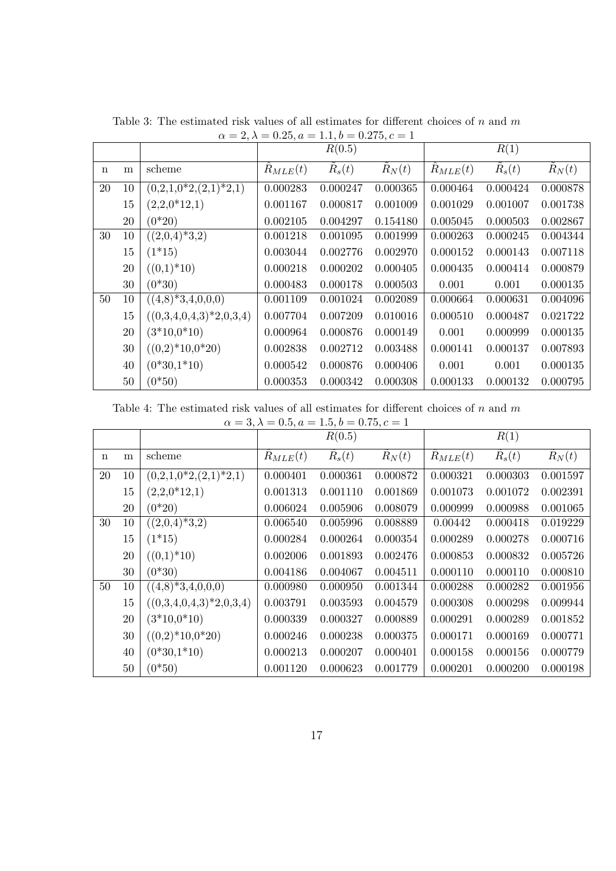|             |    |                            |                | R(0.5)           |                 |                     | R(1)            |                  |
|-------------|----|----------------------------|----------------|------------------|-----------------|---------------------|-----------------|------------------|
| $\mathbf n$ | m  | scheme                     | $R_{MLE}(t)$   | $\tilde{R}_s(t)$ | $\ddot{R}_N(t)$ | $\ddot{R}_{MLE}(t)$ | $\ddot{R}_s(t)$ | $\tilde{R}_N(t)$ |
| 20          | 10 | $(0,2,1,0^*2,(2,1)^*2,1)$  | 0.000283       | 0.000247         | 0.000365        | 0.000464            | 0.000424        | 0.000878         |
|             | 15 | $(2,2,0*12,1)$             | 0.001167       | 0.000817         | 0.001009        | 0.001029            | 0.001007        | 0.001738         |
|             | 20 | $(0*20)$                   | 0.002105       | 0.004297         | 0.154180        | 0.005045            | 0.000503        | 0.002867         |
| 30          | 10 | $((2,0,4)^*3,2)$           | 0.001218       | 0.001095         | 0.001999        | 0.000263            | 0.000245        | 0.004344         |
|             | 15 | $(1*15)$                   | 0.003044       | 0.002776         | 0.002970        | 0.000152            | 0.000143        | 0.007118         |
|             | 20 | $((0,1)*10)$               | 0.000218       | 0.000202         | 0.000405        | 0.000435            | 0.000414        | 0.000879         |
|             | 30 | $(0*30)$                   | 0.000483       | 0.000178         | 0.000503        | 0.001               | 0.001           | 0.000135         |
| 50          | 10 | $((4,8)^*3,4,0,0,0)$       | 0.001109       | 0.001024         | 0.002089        | 0.000664            | 0.000631        | 0.004096         |
|             | 15 | $((0,3,4,0,4,3)^*2,0,3,4)$ | 0.007704       | 0.007209         | 0.010016        | 0.000510            | 0.000487        | 0.021722         |
|             | 20 | $(3*10,0*10)$              | 0.000964       | 0.000876         | 0.000149        | 0.001               | 0.000999        | 0.000135         |
|             | 30 | $((0,2)*10,0*20)$          | 0.002838       | 0.002712         | 0.003488        | 0.000141            | 0.000137        | 0.007893         |
|             | 40 | $(0*30,1*10)$              | 0.000542       | 0.000876         | 0.000406        | 0.001               | 0.001           | 0.000135         |
|             | 50 | $(0*50)$                   | $\,0.000353\,$ | 0.000342         | 0.000308        | 0.000133            | 0.000132        | 0.000795         |

Table 3: The estimated risk values of all estimates for different choices of  $n$  and  $m$  $\alpha = 2, \lambda = 0.25, a = 1.1, b = 0.275, c = 1$ 

Table 4: The estimated risk values of all estimates for different choices of  $n$  and  $m$ 

| $\alpha = 3, \lambda = 0.5, a = 1.5, b = 0.75, c = 1$ |  |
|-------------------------------------------------------|--|
|-------------------------------------------------------|--|

|             |        |                           |              | R(0.5)   |          |              | R(1)     |          |
|-------------|--------|---------------------------|--------------|----------|----------|--------------|----------|----------|
| $\mathbf n$ | m      | scheme                    | $R_{MLE}(t)$ | $R_s(t)$ | $R_N(t)$ | $R_{MLE}(t)$ | $R_s(t)$ | $R_N(t)$ |
| 20          | 10     | $(0,2,1,0^*2,(2,1)^*2,1)$ | 0.000401     | 0.000361 | 0.000872 | 0.000321     | 0.000303 | 0.001597 |
|             | 15     | $(2,2,0*12,1)$            | 0.001313     | 0.001110 | 0.001869 | 0.001073     | 0.001072 | 0.002391 |
|             | 20     | $(0*20)$                  | 0.006024     | 0.005906 | 0.008079 | 0.000999     | 0.000988 | 0.001065 |
| 30          | 10     | $(2,0,4)^*3,2)$           | 0.006540     | 0.005996 | 0.008889 | 0.00442      | 0.000418 | 0.019229 |
|             | 15     | $(1*15)$                  | 0.000284     | 0.000264 | 0.000354 | 0.000289     | 0.000278 | 0.000716 |
|             | 20     | $((0,1)*10)$              | 0.002006     | 0.001893 | 0.002476 | 0.000853     | 0.000832 | 0.005726 |
|             | 30     | $(0*30)$                  | 0.004186     | 0.004067 | 0.004511 | 0.000110     | 0.000110 | 0.000810 |
| 50          | 10     | $((4,8)^*3,4,0,0,0)$      | 0.000980     | 0.000950 | 0.001344 | 0.000288     | 0.000282 | 0.001956 |
|             | 15     | $((0,3,4,0,4,3)*2,0,3,4)$ | 0.003791     | 0.003593 | 0.004579 | 0.000308     | 0.000298 | 0.009944 |
|             | 20     | $(3*10,0*10)$             | 0.000339     | 0.000327 | 0.000889 | 0.000291     | 0.000289 | 0.001852 |
|             | 30     | $((0,2)*10,0*20)$         | 0.000246     | 0.000238 | 0.000375 | 0.000171     | 0.000169 | 0.000771 |
|             | 40     | $(0*30,1*10)$             | 0.000213     | 0.000207 | 0.000401 | 0.000158     | 0.000156 | 0.000779 |
|             | $50\,$ | $(0*50)$                  | 0.001120     | 0.000623 | 0.001779 | 0.000201     | 0.000200 | 0.000198 |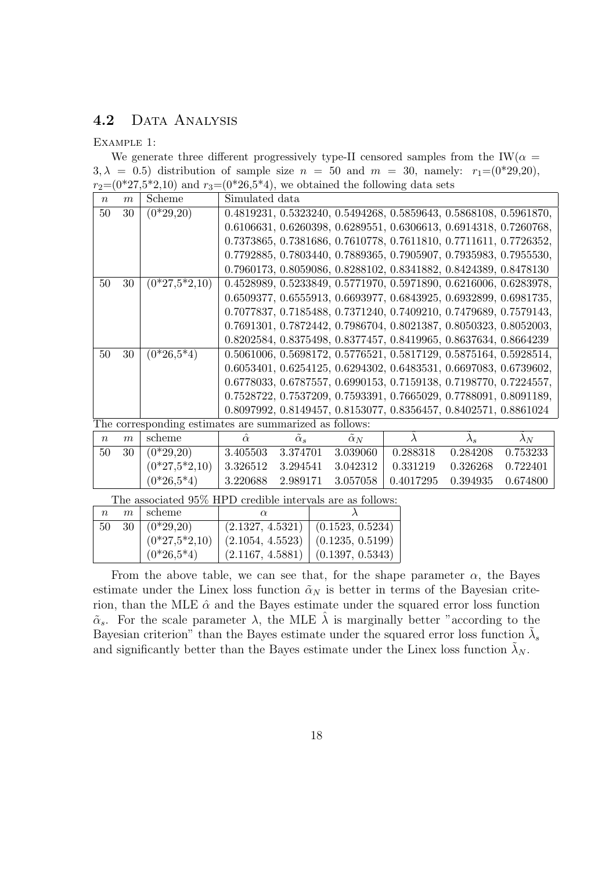### 4.2 DATA ANALYSIS

#### Example 1:

We generate three different progressively type-II censored samples from the IW( $\alpha$  =  $3, \lambda = 0.5$ ) distribution of sample size  $n = 50$  and  $m = 30$ , namely:  $r_1=(0^{*29}, 20)$ ,  $r_2=(0^*27,5^*2,10)$  and  $r_3=(0^*26,5^*4)$ , we obtained the following data sets

| $\boldsymbol{n}$ | $\boldsymbol{m}$ | Scheme                                                 | Simulated data |                    |            |                                                                   |               |             |
|------------------|------------------|--------------------------------------------------------|----------------|--------------------|------------|-------------------------------------------------------------------|---------------|-------------|
| 50               | 30               | $(0*29,20)$                                            |                |                    |            | 0.4819231, 0.5323240, 0.5494268, 0.5859643, 0.5868108, 0.5961870, |               |             |
|                  |                  |                                                        |                |                    |            | 0.6106631, 0.6260398, 0.6289551, 0.6306613, 0.6914318, 0.7260768, |               |             |
|                  |                  |                                                        |                |                    |            | 0.7373865, 0.7381686, 0.7610778, 0.7611810, 0.7711611, 0.7726352, |               |             |
|                  |                  |                                                        |                |                    |            | 0.7792885, 0.7803440, 0.7889365, 0.7905907, 0.7935983, 0.7955530, |               |             |
|                  |                  |                                                        |                |                    |            | 0.7960173, 0.8059086, 0.8288102, 0.8341882, 0.8424389, 0.8478130  |               |             |
| 50               | 30               | $(0*27,5*2,10)$                                        |                |                    |            | 0.4528989, 0.5233849, 0.5771970, 0.5971890, 0.6216006, 0.6283978, |               |             |
|                  |                  |                                                        |                |                    |            | 0.6509377, 0.6555913, 0.6693977, 0.6843925, 0.6932899, 0.6981735, |               |             |
|                  |                  |                                                        |                |                    |            | 0.7077837, 0.7185488, 0.7371240, 0.7409210, 0.7479689, 0.7579143, |               |             |
|                  |                  |                                                        |                |                    |            | 0.7691301, 0.7872442, 0.7986704, 0.8021387, 0.8050323, 0.8052003, |               |             |
|                  |                  |                                                        |                |                    |            | 0.8202584, 0.8375498, 0.8377457, 0.8419965, 0.8637634, 0.8664239  |               |             |
| 50               | 30               | $(0*26,5*4)$                                           |                |                    |            | 0.5061006, 0.5698172, 0.5776521, 0.5817129, 0.5875164, 0.5928514, |               |             |
|                  |                  |                                                        |                |                    |            | 0.6053401, 0.6254125, 0.6294302, 0.6483531, 0.6697083, 0.6739602, |               |             |
|                  |                  |                                                        |                |                    |            | 0.6778033, 0.6787557, 0.6990153, 0.7159138, 0.7198770, 0.7224557, |               |             |
|                  |                  |                                                        |                |                    |            | 0.7528722, 0.7537209, 0.7593391, 0.7665029, 0.7788091, 0.8091189, |               |             |
|                  |                  |                                                        |                |                    |            | 0.8097992, 0.8149457, 0.8153077, 0.8356457, 0.8402571, 0.8861024  |               |             |
|                  |                  | The corresponding estimates are summarized as follows: |                |                    |            |                                                                   |               |             |
| $\boldsymbol{n}$ | $\boldsymbol{m}$ | scheme                                                 | $\hat{\alpha}$ | $\tilde{\alpha}_s$ | $\alpha_N$ | $\lambda$                                                         | $\lambda_{s}$ | $\lambda_N$ |
| 50               | 30               | $(0*29,20)$                                            | 3.405503       | 3.374701           | 3.039060   | 0.288318                                                          | 0.284208      | 0.753233    |
|                  |                  | $(0*27,5*2,10)$                                        | 3.326512       | 3.294541           | 3.042312   | 0.331219                                                          | 0.326268      | 0.722401    |
|                  |                  | $(0*26, 5*4)$                                          | 3.220688       | 2.989171           | 3.057058   | 0.4017295                                                         | 0.394935      | 0.674800    |

The associated 95% HPD credible intervals are as follows:

|    | $n \mid m$ scheme           |                                                 |                                       |
|----|-----------------------------|-------------------------------------------------|---------------------------------------|
| 50 | $\overline{30}$ $(0*29,20)$ | $\mid$ (2.1327, 4.5321) $\mid$ (0.1523, 0.5234) |                                       |
|    | $(0*27,5*2,10)$             | $\mid$ (2.1054, 4.5523) $\mid$ (0.1235, 0.5199) |                                       |
|    | $(0*26.5*4)$                |                                                 | $(2.1167, 4.5881)$ $(0.1397, 0.5343)$ |

From the above table, we can see that, for the shape parameter  $\alpha$ , the Bayes estimate under the Linex loss function  $\tilde{\alpha}_N$  is better in terms of the Bayesian criterion, than the MLE  $\hat{\alpha}$  and the Bayes estimate under the squared error loss function  $\tilde{\alpha}_s$ . For the scale parameter  $\lambda$ , the MLE  $\tilde{\lambda}$  is marginally better "according to the Bayesian criterion" than the Bayes estimate under the squared error loss function  $\tilde{\lambda}_s$ and significantly better than the Bayes estimate under the Linex loss function  $\lambda_N$ .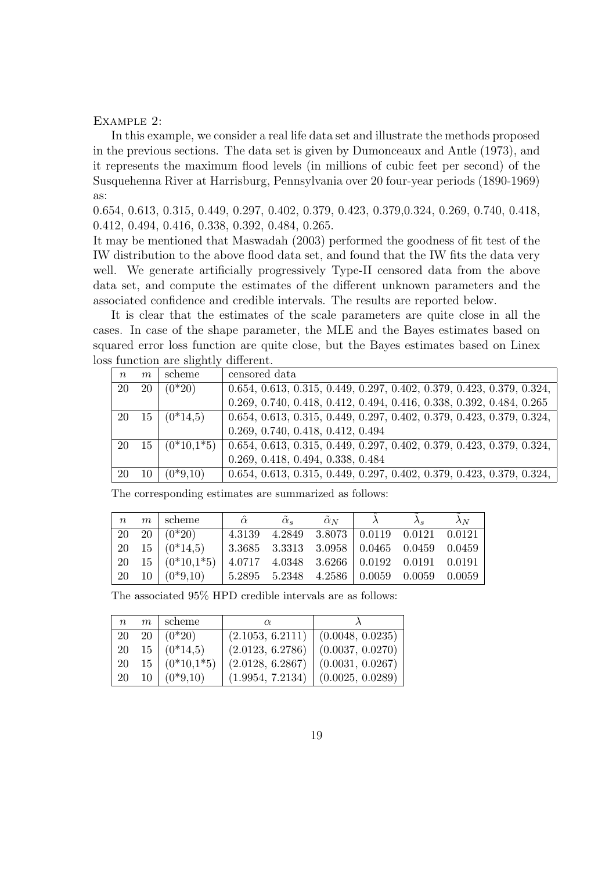#### Example 2:

In this example, we consider a real life data set and illustrate the methods proposed in the previous sections. The data set is given by Dumonceaux and Antle (1973), and it represents the maximum flood levels (in millions of cubic feet per second) of the Susquehenna River at Harrisburg, Pennsylvania over 20 four-year periods (1890-1969) as:

0.654, 0.613, 0.315, 0.449, 0.297, 0.402, 0.379, 0.423, 0.379,0.324, 0.269, 0.740, 0.418, 0.412, 0.494, 0.416, 0.338, 0.392, 0.484, 0.265.

It may be mentioned that Maswadah (2003) performed the goodness of fit test of the IW distribution to the above flood data set, and found that the IW fits the data very well. We generate artificially progressively Type-II censored data from the above data set, and compute the estimates of the different unknown parameters and the associated confidence and credible intervals. The results are reported below.

It is clear that the estimates of the scale parameters are quite close in all the cases. In case of the shape parameter, the MLE and the Bayes estimates based on squared error loss function are quite close, but the Bayes estimates based on Linex loss function are slightly different.

| m  | scheme       | censored data                                                           |
|----|--------------|-------------------------------------------------------------------------|
| 20 | $(0*20)$     | $0.654, 0.613, 0.315, 0.449, 0.297, 0.402, 0.379, 0.423, 0.379, 0.324,$ |
|    |              | 0.269, 0.740, 0.418, 0.412, 0.494, 0.416, 0.338, 0.392, 0.484, 0.265    |
| 15 | $(0*14,5)$   | $0.654, 0.613, 0.315, 0.449, 0.297, 0.402, 0.379, 0.423, 0.379, 0.324,$ |
|    |              | 0.269, 0.740, 0.418, 0.412, 0.494                                       |
| 15 | $(0*10,1*5)$ | $0.654, 0.613, 0.315, 0.449, 0.297, 0.402, 0.379, 0.423, 0.379, 0.324,$ |
|    |              | 0.269, 0.418, 0.494, 0.338, 0.484                                       |
| 10 | $(0*9,10)$   | $0.654, 0.613, 0.315, 0.449, 0.297, 0.402, 0.379, 0.423, 0.379, 0.324,$ |
|    |              |                                                                         |

The corresponding estimates are summarized as follows:

|  | $n \mid m$ scheme          | $\hat{\alpha}$ | $\tilde{\alpha}_s$ | $\tilde{\alpha}_N$                              | $\lambda_s$ | $\lambda_N$ |
|--|----------------------------|----------------|--------------------|-------------------------------------------------|-------------|-------------|
|  | $20 \quad 20 \quad (0*20)$ |                |                    | 4.3139 4.2849 3.8073 0.0119 0.0121 0.0121       |             |             |
|  | 20 15 $(0*14.5)$           |                |                    | $3.3685$ $3.3313$ $3.0958$ 0.0465 0.0459 0.0459 |             |             |
|  | 20 15 $(0*10,1*5)$         |                |                    | $4.0717$ $4.0348$ $3.6266$ 0.0192 0.0191 0.0191 |             |             |
|  | 20 10 $(0^*9,10)$          |                |                    | $5.2895$ $5.2348$ $4.2586$ 0.0059 0.0059 0.0059 |             |             |

| The associated 95% HPD credible intervals are as follows: |  |  |  |  |  |
|-----------------------------------------------------------|--|--|--|--|--|
|-----------------------------------------------------------|--|--|--|--|--|

| n  | $m \perp$ scheme           | $\alpha$                              |                  |
|----|----------------------------|---------------------------------------|------------------|
|    | $20 \quad 20 \quad (0*20)$ | (2.1053, 6.2111)   (0.0048, 0.0235)   |                  |
|    | 20 15 $(0*14.5)$           | $(2.0123, 6.2786)$ $(0.0037, 0.0270)$ |                  |
| 20 | $15 \mid (0*10,1*5)$       | (2.0128, 6.2867)                      | (0.0031, 0.0267) |
| 20 | $10 (0^*9,10)$             | $(1.9954, 7.2134)$ $(0.0025, 0.0289)$ |                  |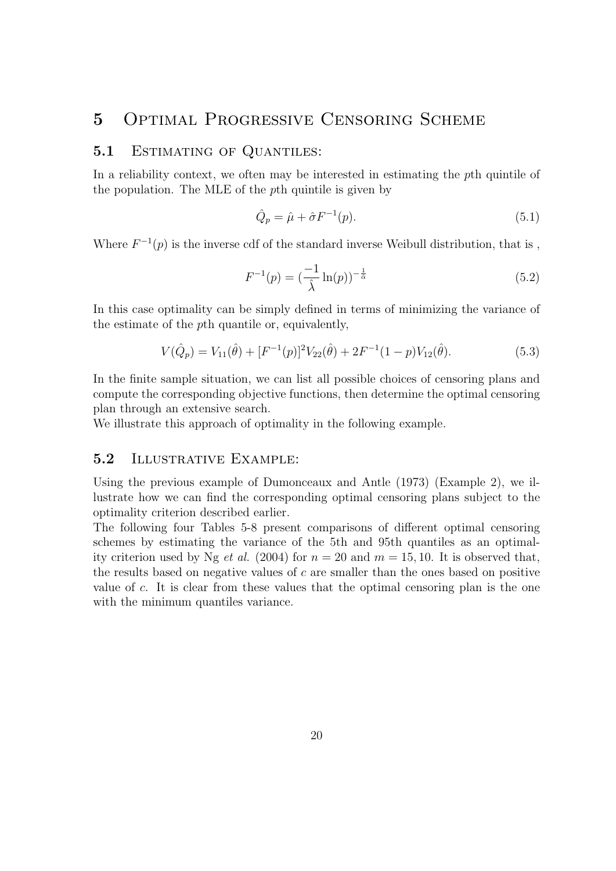# 5 Optimal Progressive Censoring Scheme

#### 5.1 ESTIMATING OF QUANTILES:

In a reliability context, we often may be interested in estimating the pth quintile of the population. The MLE of the pth quintile is given by

$$
\hat{Q}_p = \hat{\mu} + \hat{\sigma} F^{-1}(p). \tag{5.1}
$$

Where  $F^{-1}(p)$  is the inverse cdf of the standard inverse Weibull distribution, that is,

$$
F^{-1}(p) = \left(\frac{-1}{\hat{\lambda}} \ln(p)\right)^{-\frac{1}{\hat{\alpha}}} \tag{5.2}
$$

In this case optimality can be simply defined in terms of minimizing the variance of the estimate of the pth quantile or, equivalently,

$$
V(\hat{Q}_p) = V_{11}(\hat{\theta}) + [F^{-1}(p)]^2 V_{22}(\hat{\theta}) + 2F^{-1}(1-p)V_{12}(\hat{\theta}).
$$
\n(5.3)

In the finite sample situation, we can list all possible choices of censoring plans and compute the corresponding objective functions, then determine the optimal censoring plan through an extensive search.

We illustrate this approach of optimality in the following example.

### 5.2 Illustrative Example:

Using the previous example of Dumonceaux and Antle (1973) (Example 2), we illustrate how we can find the corresponding optimal censoring plans subject to the optimality criterion described earlier.

The following four Tables 5-8 present comparisons of different optimal censoring schemes by estimating the variance of the 5th and 95th quantiles as an optimality criterion used by Ng *et al.* (2004) for  $n = 20$  and  $m = 15, 10$ . It is observed that, the results based on negative values of  $c$  are smaller than the ones based on positive value of c. It is clear from these values that the optimal censoring plan is the one with the minimum quantiles variance.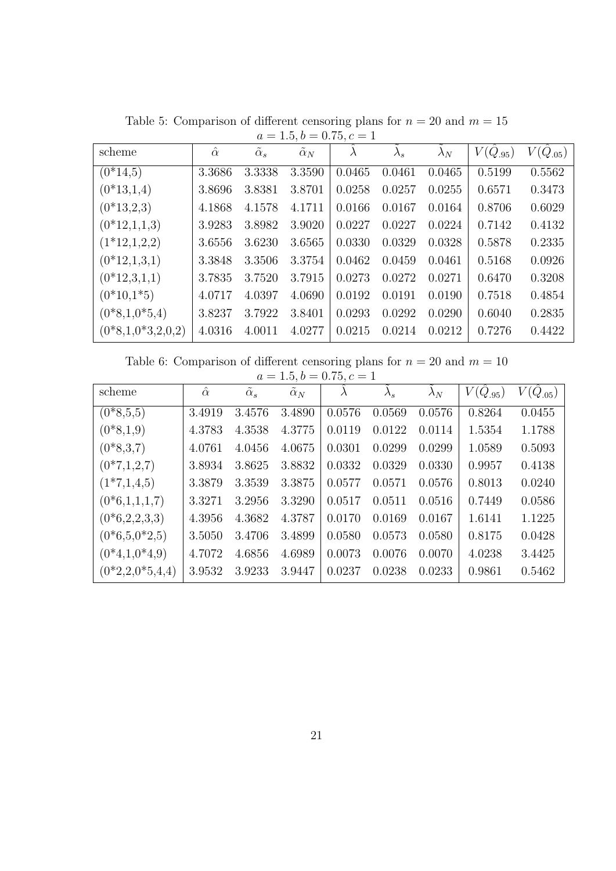| scheme              | $\hat{\alpha}$ | $\tilde{\alpha}_s$ | $\tilde{\alpha}_N$ | $\lambda$ | $\lambda_s$ | $\lambda_N$ | $V(\hat{Q}_{.95})$ | $V(\hat{Q}_{.05})$ |
|---------------------|----------------|--------------------|--------------------|-----------|-------------|-------------|--------------------|--------------------|
| $(0*14,5)$          | 3.3686         | 3.3338             | 3.3590             | 0.0465    | 0.0461      | 0.0465      | 0.5199             | 0.5562             |
| $(0*13,1,4)$        | 3.8696         | 3.8381             | 3.8701             | 0.0258    | 0.0257      | 0.0255      | 0.6571             | 0.3473             |
| $(0*13,2,3)$        | 4.1868         | 4.1578             | 4.1711             | 0.0166    | 0.0167      | 0.0164      | 0.8706             | 0.6029             |
| $(0*12,1,1,3)$      | 3.9283         | 3.8982             | 3.9020             | 0.0227    | 0.0227      | 0.0224      | 0.7142             | 0.4132             |
| $(1*12,1,2,2)$      | 3.6556         | 3.6230             | 3.6565             | 0.0330    | 0.0329      | 0.0328      | 0.5878             | 0.2335             |
| $(0*12,1,3,1)$      | 3.3848         | 3.3506             | 3.3754             | 0.0462    | 0.0459      | 0.0461      | 0.5168             | 0.0926             |
| $(0*12,3,1,1)$      | 3.7835         | 3.7520             | 3.7915             | 0.0273    | 0.0272      | 0.0271      | 0.6470             | 0.3208             |
| $(0*10,1*5)$        | 4.0717         | 4.0397             | 4.0690             | 0.0192    | 0.0191      | 0.0190      | 0.7518             | 0.4854             |
| $(0*8,1,0*5,4)$     | 3.8237         | 3.7922             | 3.8401             | 0.0293    | 0.0292      | 0.0290      | 0.6040             | 0.2835             |
| $(0*8,1,0*3,2,0,2)$ | 4.0316         | 4.0011             | 4.0277             | 0.0215    | 0.0214      | 0.0212      | 0.7276             | 0.4422             |

Table 5: Comparison of different censoring plans for  $n = 20$  and  $m = 15$  $a = 1.5, b = 0.75, c = 1$ 

Table 6: Comparison of different censoring plans for  $n = 20$  and  $m = 10$ 

| $a = 1.5, b = 0.75, c = 1$ |                |                    |                    |        |             |             |              |              |  |
|----------------------------|----------------|--------------------|--------------------|--------|-------------|-------------|--------------|--------------|--|
| scheme                     | $\hat{\alpha}$ | $\tilde{\alpha}_s$ | $\tilde{\alpha}_N$ |        | $\lambda_s$ | $\lambda_N$ | $V(Q_{.95})$ | $V(Q_{.05})$ |  |
| $(0*8, 5, 5)$              | 3.4919         | 3.4576             | 3.4890             | 0.0576 | 0.0569      | 0.0576      | 0.8264       | 0.0455       |  |
| $(0*8,1,9)$                | 4.3783         | 4.3538             | 4.3775             | 0.0119 | 0.0122      | 0.0114      | 1.5354       | 1.1788       |  |
| $(0*8,3,7)$                | 4.0761         | 4.0456             | 4.0675             | 0.0301 | 0.0299      | 0.0299      | 1.0589       | 0.5093       |  |
| $(0*7,1,2,7)$              | 3.8934         | 3.8625             | 3.8832             | 0.0332 | 0.0329      | 0.0330      | 0.9957       | 0.4138       |  |
| $(1*7,1,4,5)$              | 3.3879         | 3.3539             | 3.3875             | 0.0577 | 0.0571      | 0.0576      | 0.8013       | 0.0240       |  |
| $(0*6,1,1,1,7)$            | 3.3271         | 3.2956             | 3.3290             | 0.0517 | 0.0511      | 0.0516      | 0.7449       | 0.0586       |  |
| $(0*6,2,2,3,3)$            | 4.3956         | 4.3682             | 4.3787             | 0.0170 | 0.0169      | 0.0167      | 1.6141       | 1.1225       |  |
| $(0*6,5,0*2,5)$            | 3.5050         | 3.4706             | 3.4899             | 0.0580 | 0.0573      | 0.0580      | 0.8175       | 0.0428       |  |
| $(0*4,1,0*4,9)$            | 4.7072         | 4.6856             | 4.6989             | 0.0073 | 0.0076      | 0.0070      | 4.0238       | 3.4425       |  |
| $(0*2, 2, 0*5, 4, 4)$      | 3.9532         | 3.9233             | 3.9447             | 0.0237 | 0.0238      | 0.0233      | 0.9861       | 0.5462       |  |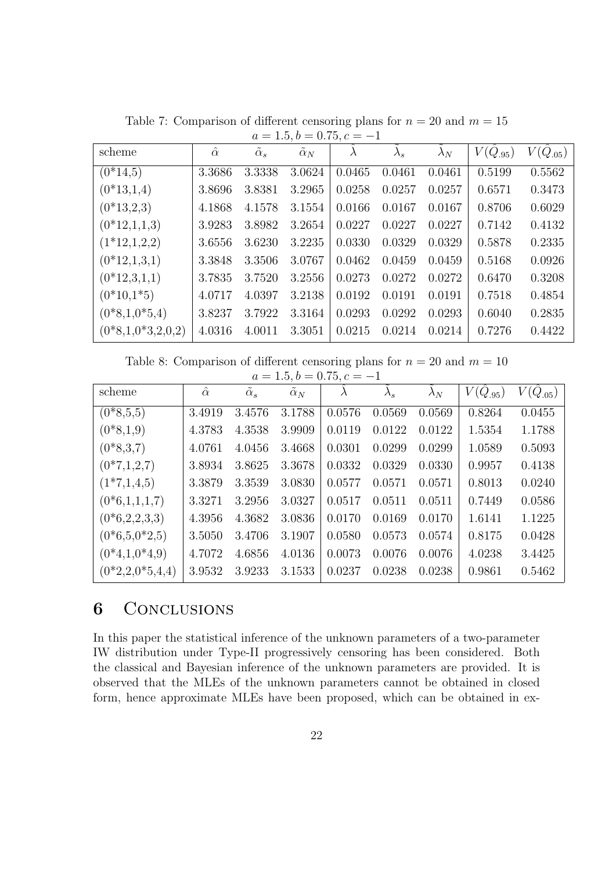| scheme              | $\hat{\alpha}$ | $\alpha_s$ | $\tilde{\alpha}_N$ | $\lambda$ | $\lambda_s$ | $\lambda_N$ | $V(Q_{.95})$ | $V(\hat{Q}_{.05})$ |
|---------------------|----------------|------------|--------------------|-----------|-------------|-------------|--------------|--------------------|
| $(0*14,5)$          | 3.3686         | 3.3338     | 3.0624             | 0.0465    | 0.0461      | 0.0461      | 0.5199       | 0.5562             |
| $(0*13,1,4)$        | 3.8696         | 3.8381     | 3.2965             | 0.0258    | 0.0257      | 0.0257      | 0.6571       | 0.3473             |
| $(0*13,2,3)$        | 4.1868         | 4.1578     | 3.1554             | 0.0166    | 0.0167      | 0.0167      | 0.8706       | 0.6029             |
| $(0*12,1,1,3)$      | 3.9283         | 3.8982     | 3.2654             | 0.0227    | 0.0227      | 0.0227      | 0.7142       | 0.4132             |
| $(1*12,1,2,2)$      | 3.6556         | 3.6230     | 3.2235             | 0.0330    | 0.0329      | 0.0329      | 0.5878       | 0.2335             |
| $(0*12,1,3,1)$      | 3.3848         | 3.3506     | 3.0767             | 0.0462    | 0.0459      | 0.0459      | 0.5168       | 0.0926             |
| $(0*12,3,1,1)$      | 3.7835         | 3.7520     | 3.2556             | 0.0273    | 0.0272      | 0.0272      | 0.6470       | 0.3208             |
| $(0*10,1*5)$        | 4.0717         | 4.0397     | 3.2138             | 0.0192    | 0.0191      | 0.0191      | 0.7518       | 0.4854             |
| $(0*8,1,0*5,4)$     | 3.8237         | 3.7922     | 3.3164             | 0.0293    | 0.0292      | 0.0293      | 0.6040       | 0.2835             |
| $(0*8,1,0*3,2,0,2)$ | 4.0316         | 4.0011     | 3.3051             | 0.0215    | 0.0214      | 0.0214      | 0.7276       | 0.4422             |

Table 7: Comparison of different censoring plans for  $n = 20$  and  $m = 15$  $a = 1.5, b = 0.75, c = -1$ 

Table 8: Comparison of different censoring plans for  $n = 20$  and  $m = 10$ 

| $a = 1.5, b = 0.75, c = -1$ |                |                    |                    |           |             |             |                    |                    |  |
|-----------------------------|----------------|--------------------|--------------------|-----------|-------------|-------------|--------------------|--------------------|--|
| scheme                      | $\hat{\alpha}$ | $\tilde{\alpha}_s$ | $\tilde{\alpha}_N$ | $\lambda$ | $\lambda_s$ | $\lambda_N$ | $V(\hat{Q}_{.95})$ | $V(\hat{Q}_{.05})$ |  |
| $(0*8,5,5)$                 | 3.4919         | 3.4576             | 3.1788             | 0.0576    | 0.0569      | 0.0569      | 0.8264             | 0.0455             |  |
| $(0*8,1,9)$                 | 4.3783         | 4.3538             | 3.9909             | 0.0119    | 0.0122      | 0.0122      | 1.5354             | 1.1788             |  |
| $(0*8,3,7)$                 | 4.0761         | 4.0456             | 3.4668             | 0.0301    | 0.0299      | 0.0299      | 1.0589             | 0.5093             |  |
| $(0*7,1,2,7)$               | 3.8934         | 3.8625             | 3.3678             | 0.0332    | 0.0329      | 0.0330      | 0.9957             | 0.4138             |  |
| $(1*7,1,4,5)$               | 3.3879         | 3.3539             | 3.0830             | 0.0577    | 0.0571      | 0.0571      | 0.8013             | 0.0240             |  |
| $(0*6,1,1,1,7)$             | 3.3271         | 3.2956             | 3.0327             | 0.0517    | 0.0511      | 0.0511      | 0.7449             | 0.0586             |  |
| $(0*6,2,2,3,3)$             | 4.3956         | 4.3682             | 3.0836             | 0.0170    | 0.0169      | 0.0170      | 1.6141             | 1.1225             |  |
| $(0*6,5,0*2,5)$             | 3.5050         | 3.4706             | 3.1907             | 0.0580    | 0.0573      | 0.0574      | 0.8175             | 0.0428             |  |
| $(0*4,1,0*4,9)$             | 4.7072         | 4.6856             | 4.0136             | 0.0073    | 0.0076      | 0.0076      | 4.0238             | 3.4425             |  |
| $(0*2, 2, 0*5, 4, 4)$       | 3.9532         | 3.9233             | 3.1533             | 0.0237    | 0.0238      | 0.0238      | 0.9861             | 0.5462             |  |

# **6** CONCLUSIONS

In this paper the statistical inference of the unknown parameters of a two-parameter IW distribution under Type-II progressively censoring has been considered. Both the classical and Bayesian inference of the unknown parameters are provided. It is observed that the MLEs of the unknown parameters cannot be obtained in closed form, hence approximate MLEs have been proposed, which can be obtained in ex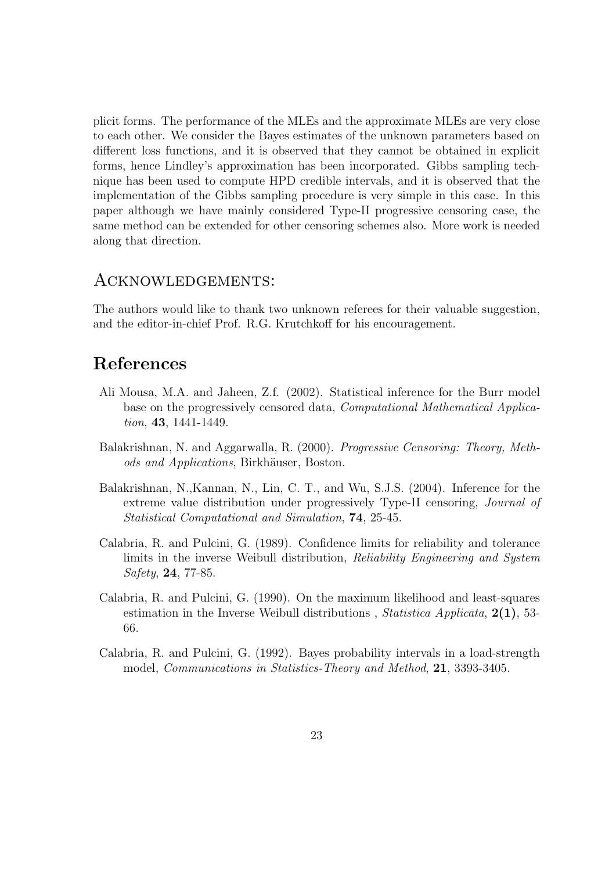plicit forms. The performance of the MLEs and the approximate MLEs are very close to each other. We consider the Bayes estimates of the unknown parameters based on different loss functions, and it is observed that they cannot be obtained in explicit forms, hence Lindley's approximation has been incorporated. Gibbs sampling technique has been used to compute HPD credible intervals, and it is observed that the implementation of the Gibbs sampling procedure is very simple in this case. In this paper although we have mainly considered Type-II progressive censoring case, the same method can be extended for other censoring schemes also. More work is needed along that direction.

### Acknowledgements:

The authors would like to thank two unknown referees for their valuable suggestion, and the editor-in-chief Prof. R.G. Krutchkoff for his encouragement.

# References

- Ali Mousa, M.A. and Jaheen, Z.f. (2002). Statistical inference for the Burr model base on the progressively censored data, Computational Mathematical Application, 43, 1441-1449.
- Balakrishnan, N. and Aggarwalla, R. (2000). Progressive Censoring: Theory, Methods and Applications, Birkhäuser, Boston.
- Balakrishnan, N.,Kannan, N., Lin, C. T., and Wu, S.J.S. (2004). Inference for the extreme value distribution under progressively Type-II censoring, Journal of Statistical Computational and Simulation, 74, 25-45.
- Calabria, R. and Pulcini, G. (1989). Confidence limits for reliability and tolerance limits in the inverse Weibull distribution, Reliability Engineering and System Safety, 24, 77-85.
- Calabria, R. and Pulcini, G. (1990). On the maximum likelihood and least-squares estimation in the Inverse Weibull distributions, Statistica Applicata,  $2(1)$ , 53-66.
- Calabria, R. and Pulcini, G. (1992). Bayes probability intervals in a load-strength model, *Communications in Statistics-Theory and Method*, **21**, 3393-3405.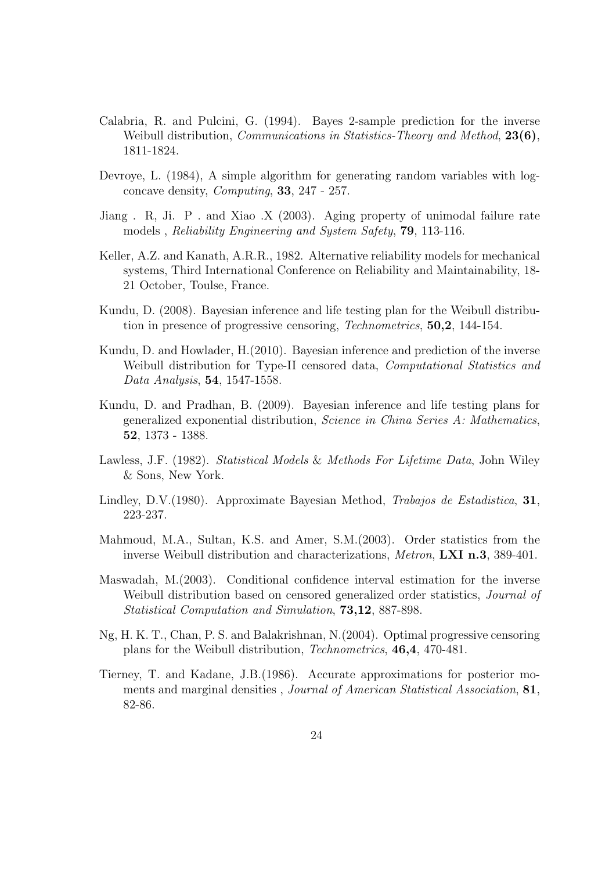- Calabria, R. and Pulcini, G. (1994). Bayes 2-sample prediction for the inverse Weibull distribution, *Communications in Statistics-Theory and Method*, 23(6), 1811-1824.
- Devroye, L. (1984), A simple algorithm for generating random variables with logconcave density, Computing, 33, 247 - 257.
- Jiang . R, Ji. P . and Xiao .X (2003). Aging property of unimodal failure rate models , Reliability Engineering and System Safety, 79, 113-116.
- Keller, A.Z. and Kanath, A.R.R., 1982. Alternative reliability models for mechanical systems, Third International Conference on Reliability and Maintainability, 18- 21 October, Toulse, France.
- Kundu, D. (2008). Bayesian inference and life testing plan for the Weibull distribution in presence of progressive censoring, Technometrics, 50,2, 144-154.
- Kundu, D. and Howlader, H.(2010). Bayesian inference and prediction of the inverse Weibull distribution for Type-II censored data, Computational Statistics and Data Analysis, 54, 1547-1558.
- Kundu, D. and Pradhan, B. (2009). Bayesian inference and life testing plans for generalized exponential distribution, Science in China Series A: Mathematics, 52, 1373 - 1388.
- Lawless, J.F. (1982). Statistical Models & Methods For Lifetime Data, John Wiley & Sons, New York.
- Lindley, D.V.(1980). Approximate Bayesian Method, Trabajos de Estadistica, 31, 223-237.
- Mahmoud, M.A., Sultan, K.S. and Amer, S.M.(2003). Order statistics from the inverse Weibull distribution and characterizations, Metron, LXI n.3, 389-401.
- Maswadah, M.(2003). Conditional confidence interval estimation for the inverse Weibull distribution based on censored generalized order statistics, *Journal of* Statistical Computation and Simulation, 73,12, 887-898.
- Ng, H. K. T., Chan, P. S. and Balakrishnan, N.(2004). Optimal progressive censoring plans for the Weibull distribution, Technometrics, 46,4, 470-481.
- Tierney, T. and Kadane, J.B.(1986). Accurate approximations for posterior moments and marginal densities , Journal of American Statistical Association, 81, 82-86.